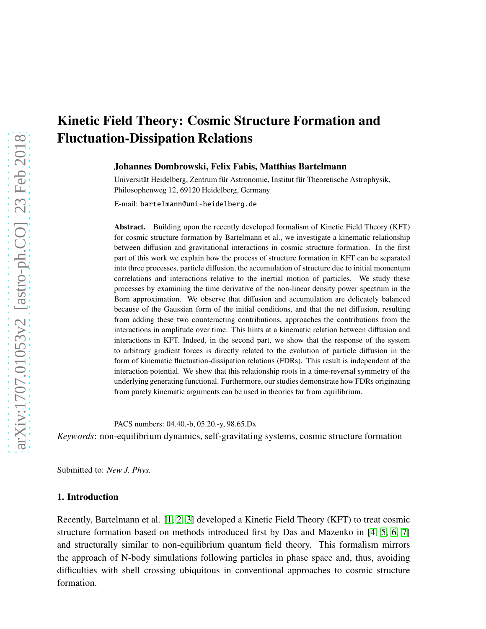# Kinetic Field Theory: Cosmic Structure Formation and Fluctuation-Dissipation Relations

Johannes Dombrowski, Felix Fabis, Matthias Bartelmann

Universität Heidelberg, Zentrum für Astronomie, Institut für Theoretische Astrophysik, Philosophenweg 12, 69120 Heidelberg, Germany

E-mail: bartelmann@uni-heidelberg.de

Abstract. Building upon the recently developed formalism of Kinetic Field Theory (KFT) for cosmic structure formation by Bartelmann et al., we investigate a kinematic relationship between diffusion and gravitational interactions in cosmic structure formation. In the first part of this work we explain how the process of structure formation in KFT can be separated into three processes, particle diffusion, the accumulation of structure due to initial momentum correlations and interactions relative to the inertial motion of particles. We study these processes by examining the time derivative of the non-linear density power spectrum in the Born approximation. We observe that diffusion and accumulation are delicately balanced because of the Gaussian form of the initial conditions, and that the net diffusion, resulting from adding these two counteracting contributions, approaches the contributions from the interactions in amplitude over time. This hints at a kinematic relation between diffusion and interactions in KFT. Indeed, in the second part, we show that the response of the system to arbitrary gradient forces is directly related to the evolution of particle diffusion in the form of kinematic fluctuation-dissipation relations (FDRs). This result is independent of the interaction potential. We show that this relationship roots in a time-reversal symmetry of the underlying generating functional. Furthermore, our studies demonstrate how FDRs originating from purely kinematic arguments can be used in theories far from equilibrium.

PACS numbers: 04.40.-b, 05.20.-y, 98.65.Dx

*Keywords*: non-equilibrium dynamics, self-gravitating systems, cosmic structure formation

Submitted to: *New J. Phys.*

# 1. Introduction

Recently, Bartelmann et al. [\[1,](#page-27-0) [2,](#page-27-1) [3\]](#page-27-2) developed a Kinetic Field Theory (KFT) to treat cosmic structure formation based on methods introduced first by Das and Mazenko in [\[4,](#page-27-3) [5,](#page-27-4) [6,](#page-27-5) [7\]](#page-27-6) and structurally similar to non-equilibrium quantum field theory. This formalism mirrors the approach of N-body simulations following particles in phase space and, thus, avoiding difficulties with shell crossing ubiquitous in conventional approaches to cosmic structure formation.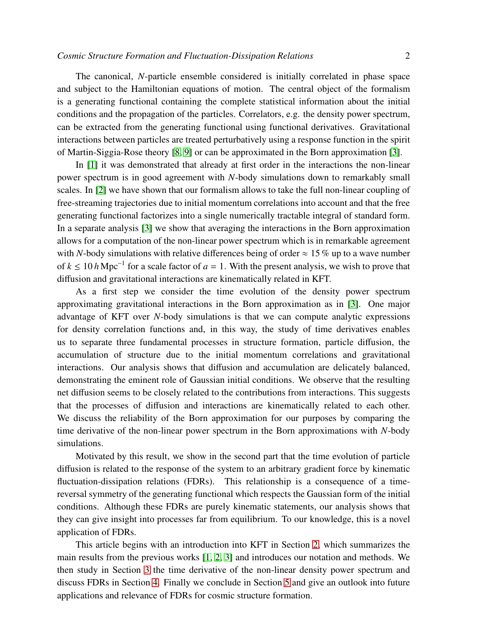The canonical, *N*-particle ensemble considered is initially correlated in phase space and subject to the Hamiltonian equations of motion. The central object of the formalism is a generating functional containing the complete statistical information about the initial conditions and the propagation of the particles. Correlators, e.g. the density power spectrum, can be extracted from the generating functional using functional derivatives. Gravitational interactions between particles are treated perturbatively using a response function in the spirit of Martin-Siggia-Rose theory [\[8,](#page-27-7) [9\]](#page-27-8) or can be approximated in the Born approximation [\[3\]](#page-27-2).

In [\[1\]](#page-27-0) it was demonstrated that already at first order in the interactions the non-linear power spectrum is in good agreement with *N*-body simulations down to remarkably small scales. In [\[2\]](#page-27-1) we have shown that our formalism allows to take the full non-linear coupling of free-streaming trajectories due to initial momentum correlations into account and that the free generating functional factorizes into a single numerically tractable integral of standard form. In a separate analysis [\[3\]](#page-27-2) we show that averaging the interactions in the Born approximation allows for a computation of the non-linear power spectrum which is in remarkable agreement with *N*-body simulations with relative differences being of order  $\approx 15\%$  up to a wave number of  $k \le 10 h \text{ Mpc}^{-1}$  for a scale factor of  $a = 1$ . With the present analysis, we wish to prove that diffusion and gravitational interactions are kinematically related in KFT.

As a first step we consider the time evolution of the density power spectrum approximating gravitational interactions in the Born approximation as in [\[3\]](#page-27-2). One major advantage of KFT over *N*-body simulations is that we can compute analytic expressions for density correlation functions and, in this way, the study of time derivatives enables us to separate three fundamental processes in structure formation, particle diffusion, the accumulation of structure due to the initial momentum correlations and gravitational interactions. Our analysis shows that diffusion and accumulation are delicately balanced, demonstrating the eminent role of Gaussian initial conditions. We observe that the resulting net diffusion seems to be closely related to the contributions from interactions. This suggests that the processes of diffusion and interactions are kinematically related to each other. We discuss the reliability of the Born approximation for our purposes by comparing the time derivative of the non-linear power spectrum in the Born approximations with *N*-body simulations.

Motivated by this result, we show in the second part that the time evolution of particle diffusion is related to the response of the system to an arbitrary gradient force by kinematic fluctuation-dissipation relations (FDRs). This relationship is a consequence of a timereversal symmetry of the generating functional which respects the Gaussian form of the initial conditions. Although these FDRs are purely kinematic statements, our analysis shows that they can give insight into processes far from equilibrium. To our knowledge, this is a novel application of FDRs.

This article begins with an introduction into KFT in Section [2,](#page-2-0) which summarizes the main results from the previous works [\[1,](#page-27-0) [2,](#page-27-1) [3\]](#page-27-2) and introduces our notation and methods. We then study in Section [3](#page-8-0) the time derivative of the non-linear density power spectrum and discuss FDRs in Section [4.](#page-14-0) Finally we conclude in Section [5](#page-21-0) and give an outlook into future applications and relevance of FDRs for cosmic structure formation.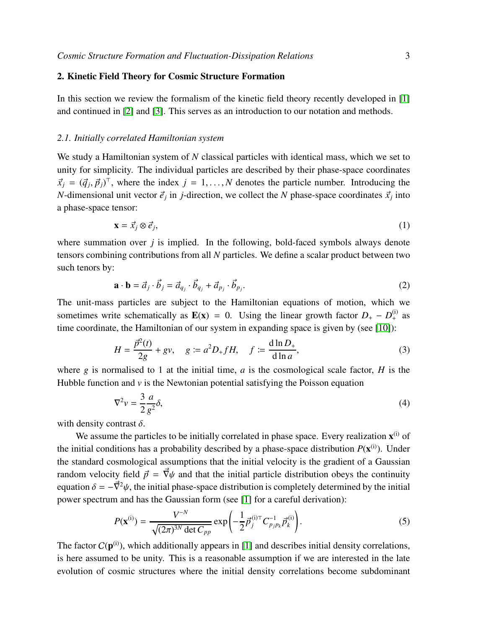# <span id="page-2-0"></span>2. Kinetic Field Theory for Cosmic Structure Formation

In this section we review the formalism of the kinetic field theory recently developed in [\[1\]](#page-27-0) and continued in [\[2\]](#page-27-1) and [\[3\]](#page-27-2). This serves as an introduction to our notation and methods.

#### <span id="page-2-3"></span>*2.1. Initially correlated Hamiltonian system*

We study a Hamiltonian system of *N* classical particles with identical mass, which we set to unity for simplicity. The individual particles are described by their phase-space coordinates  $\vec{x}_j = (\vec{q}_j, \vec{p}_j)^T$ , where the index  $j = 1, ..., N$  denotes the particle number. Introducing the *N*-dimensional unit vector  $\vec{e}_j$  in *j*-direction, we collect the *N* phase-space coordinates  $\vec{x}_j$  into a phase-space tensor:

$$
\mathbf{x} = \vec{x}_j \otimes \vec{e}_j,\tag{1}
$$

where summation over *j* is implied. In the following, bold-faced symbols always denote tensors combining contributions from all *N* particles. We define a scalar product between two such tenors by:

$$
\mathbf{a} \cdot \mathbf{b} = \vec{a}_j \cdot \vec{b}_j = \vec{a}_{q_j} \cdot \vec{b}_{q_j} + \vec{a}_{p_j} \cdot \vec{b}_{p_j}.
$$
 (2)

The unit-mass particles are subject to the Hamiltonian equations of motion, which we sometimes write schematically as  $\mathbf{E}(\mathbf{x}) = 0$ . Using the linear growth factor  $D_{+} - D_{+}^{(i)}$  as time coordinate, the Hamiltonian of our system in expanding space is given by (see [\[10\]](#page-27-9)):

<span id="page-2-2"></span>
$$
H = \frac{\vec{p}^2(t)}{2g} + gv, \quad g := a^2 D_+ f H, \quad f := \frac{d \ln D_+}{d \ln a},
$$
 (3)

where  $g$  is normalised to 1 at the initial time,  $a$  is the cosmological scale factor,  $H$  is the Hubble function and  $\nu$  is the Newtonian potential satisfying the Poisson equation

$$
\nabla^2 v = \frac{3}{2} \frac{a}{g^2} \delta,\tag{4}
$$

with density contrast  $\delta$ .

We assume the particles to be initially correlated in phase space. Every realization  $x^{(i)}$  of the initial conditions has a probability described by a phase-space distribution  $P(\mathbf{x}^{(i)})$ . Under the standard cosmological assumptions that the initial velocity is the gradient of a Gaussian random velocity field  $\vec{p} = \vec{\nabla}\psi$  and that the initial particle distribution obeys the continuity equation  $\delta = -\vec{\nabla}^2 \psi$ , the initial phase-space distribution is completely determined by the initial power spectrum and has the Gaussian form (see [\[1\]](#page-27-0) for a careful derivation):

<span id="page-2-1"></span>
$$
P(\mathbf{x}^{(i)}) = \frac{V^{-N}}{\sqrt{(2\pi)^{3N} \det C_{pp}}} \exp\left(-\frac{1}{2}\vec{p}_j^{(i)\top} C_{p_j p_k}^{-1} \vec{p}_k^{(i)}\right).
$$
 (5)

The factor  $C(\mathbf{p}^{(i)})$ , which additionally appears in [\[1\]](#page-27-0) and describes initial density correlations, is here assumed to be unity. This is a reasonable assumption if we are interested in the late evolution of cosmic structures where the initial density correlations become subdominant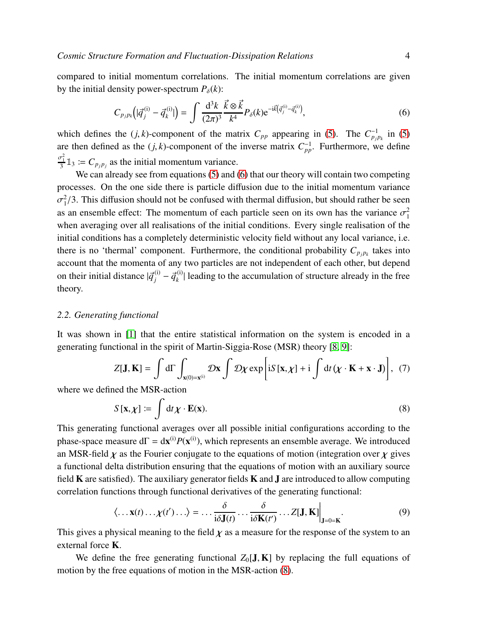compared to initial momentum correlations. The initial momentum correlations are given by the initial density power-spectrum  $P_{\delta}(k)$ :

<span id="page-3-0"></span>
$$
C_{p_j p_k} (|\vec{q}_j^{(i)} - \vec{q}_k^{(i)}|) = \int \frac{d^3 k}{(2\pi)^3} \frac{\vec{k} \otimes \vec{k}}{k^4} P_\delta(k) e^{-i\vec{k}(\vec{q}_j^{(i)} - \vec{q}_k^{(i)})}, \tag{6}
$$

which defines the  $(j, k)$ -component of the matrix  $C_{pp}$  appearing in [\(5\)](#page-2-1). The  $C_{p_j p_k}^{-1}$  in [\(5\)](#page-2-1) are then defined as the  $(j, k)$ -component of the inverse matrix  $C_{pp}^{-1}$ . Furthermore, we define  $\frac{\sigma_1^2}{3} \mathbb{1}_3 := C_{p_j p_j}$  as the initial momentum variance.

We can already see from equations [\(5\)](#page-2-1) and [\(6\)](#page-3-0) that our theory will contain two competing processes. On the one side there is particle diffusion due to the initial momentum variance  $\sigma_1^2$  $\frac{2}{1}$ /3. This diffusion should not be confused with thermal diffusion, but should rather be seen as an ensemble effect: The momentum of each particle seen on its own has the variance  $\sigma_1^2$ 1 when averaging over all realisations of the initial conditions. Every single realisation of the initial conditions has a completely deterministic velocity field without any local variance, i.e. there is no 'thermal' component. Furthermore, the conditional probability  $C_{p_j p_k}$  takes into account that the momenta of any two particles are not independent of each other, but depend on their initial distance  $|\vec{q}_j^{(i)} - \vec{q}_k^{(i)}|$  $\binom{n}{k}$  leading to the accumulation of structure already in the free theory.

# *2.2. Generating functional*

It was shown in [\[1\]](#page-27-0) that the entire statistical information on the system is encoded in a generating functional in the spirit of Martin-Siggia-Rose (MSR) theory [\[8,](#page-27-7) [9\]](#page-27-8):

$$
Z[\mathbf{J}, \mathbf{K}] = \int d\Gamma \int_{\mathbf{x}(0) = \mathbf{x}^{(i)}} \mathcal{D}\mathbf{x} \int \mathcal{D}\chi \exp \left[ iS[\mathbf{x}, \chi] + i \int dt (\chi \cdot \mathbf{K} + \mathbf{x} \cdot \mathbf{J}) \right], \tag{7}
$$

where we defined the MSR-action

<span id="page-3-1"></span>
$$
S[\mathbf{x}, \chi] \coloneqq \int \mathrm{d}t \chi \cdot \mathbf{E}(\mathbf{x}). \tag{8}
$$

This generating functional averages over all possible initial configurations according to the phase-space measure  $d\Gamma = dx^{(i)} P(x^{(i)})$ , which represents an ensemble average. We introduced an MSR-field  $\chi$  as the Fourier conjugate to the equations of motion (integration over  $\chi$  gives a functional delta distribution ensuring that the equations of motion with an auxiliary source field K are satisfied). The auxiliary generator fields K and J are introduced to allow computing correlation functions through functional derivatives of the generating functional:

$$
\langle \dots \mathbf{x}(t) \dots \chi(t') \dots \rangle = \dots \frac{\delta}{i \delta \mathbf{J}(t)} \dots \frac{\delta}{i \delta \mathbf{K}(t')} \dots Z[\mathbf{J}, \mathbf{K}] \Big|_{\mathbf{J} = 0 = \mathbf{K}}.
$$
 (9)

This gives a physical meaning to the field  $\chi$  as a measure for the response of the system to an external force K.

We define the free generating functional  $Z_0[J, K]$  by replacing the full equations of motion by the free equations of motion in the MSR-action [\(8\)](#page-3-1).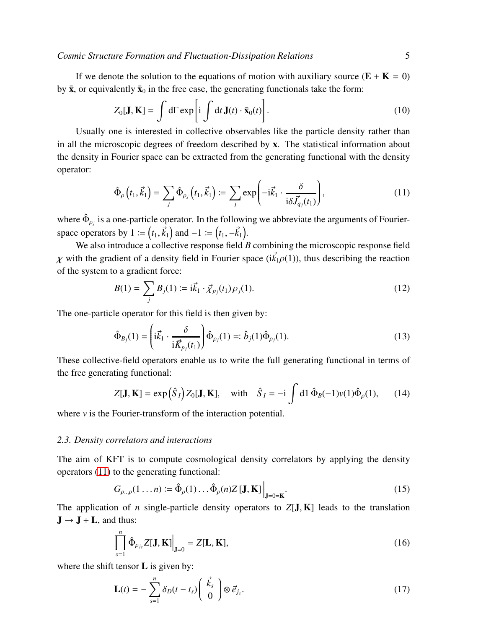If we denote the solution to the equations of motion with auxiliary source  $(E + K = 0)$ by  $\bar{\mathbf{x}}$ , or equivalently  $\bar{\mathbf{x}}_0$  in the free case, the generating functionals take the form:

<span id="page-4-3"></span>
$$
Z_0[\mathbf{J}, \mathbf{K}] = \int d\Gamma \exp\left[i \int dt \, \mathbf{J}(t) \cdot \bar{\mathbf{x}}_0(t)\right].
$$
 (10)

Usually one is interested in collective observables like the particle density rather than in all the microscopic degrees of freedom described by x. The statistical information about the density in Fourier space can be extracted from the generating functional with the density operator:

<span id="page-4-0"></span>
$$
\hat{\Phi}_{\rho}\left(t_{1}, \vec{k}_{1}\right) = \sum_{j} \hat{\Phi}_{\rho_{j}}\left(t_{1}, \vec{k}_{1}\right) := \sum_{j} \exp\left(-i\vec{k}_{1} \cdot \frac{\delta}{i\delta \vec{J}_{q_{j}}(t_{1})}\right),\tag{11}
$$

where  $\hat{\Phi}_{\rho_j}$  is a one-particle operator. In the following we abbreviate the arguments of Fourierspace operators by 1 :=  $(t_1, \vec{k}_1)$  and  $-1$  :=  $(t_1, -\vec{k}_1)$ .

We also introduce a collective response field *B* combining the microscopic response field  $\chi$  with the gradient of a density field in Fourier space ( $i\vec{k}_1\rho(1)$ ), thus describing the reaction of the system to a gradient force:

$$
B(1) = \sum_{j} B_{j}(1) \coloneqq i \vec{k}_{1} \cdot \vec{\chi}_{p_{j}}(t_{1}) \rho_{j}(1). \tag{12}
$$

The one-particle operator for this field is then given by:

<span id="page-4-2"></span>
$$
\hat{\Phi}_{B_j}(1) = \left(i\vec{k}_1 \cdot \frac{\delta}{i\vec{K}_{p_j}(t_1)}\right)\hat{\Phi}_{\rho_j}(1) =: \hat{b}_j(1)\hat{\Phi}_{\rho_j}(1). \tag{13}
$$

These collective-field operators enable us to write the full generating functional in terms of the free generating functional:

<span id="page-4-1"></span>
$$
Z[\mathbf{J}, \mathbf{K}] = \exp\left(\hat{S}_I\right) Z_0[\mathbf{J}, \mathbf{K}], \quad \text{with} \quad \hat{S}_I = -\mathrm{i} \int \mathrm{d} \mathbf{1} \, \hat{\Phi}_B(-1) v(1) \hat{\Phi}_P(1), \qquad (14)
$$

where  $\nu$  is the Fourier-transform of the interaction potential.

#### *2.3. Density correlators and interactions*

The aim of KFT is to compute cosmological density correlators by applying the density operators [\(11\)](#page-4-0) to the generating functional:

<span id="page-4-4"></span>
$$
G_{\rho\ldots\rho}(1\ldots n) \coloneqq \hat{\Phi}_{\rho}(1)\ldots\hat{\Phi}_{\rho}(n)Z[\mathbf{J},\mathbf{K}]\Big|_{\mathbf{J}=0=\mathbf{K}}.\tag{15}
$$

The application of *n* single-particle density operators to  $Z[J, K]$  leads to the translation  $J \rightarrow J + L$ , and thus:

$$
\left. \int_{s=1}^{n} \hat{\Phi}_{\rho_{j_s}} Z[\mathbf{J}, \mathbf{K}] \right|_{\mathbf{J}=0} = Z[\mathbf{L}, \mathbf{K}],
$$
\n(16)

where the shift tensor  $L$  is given by:

$$
\mathbf{L}(t) = -\sum_{s=1}^{n} \delta_D(t - t_s) \begin{pmatrix} \vec{k}_s \\ 0 \end{pmatrix} \otimes \vec{e}_{j_s}.
$$
 (17)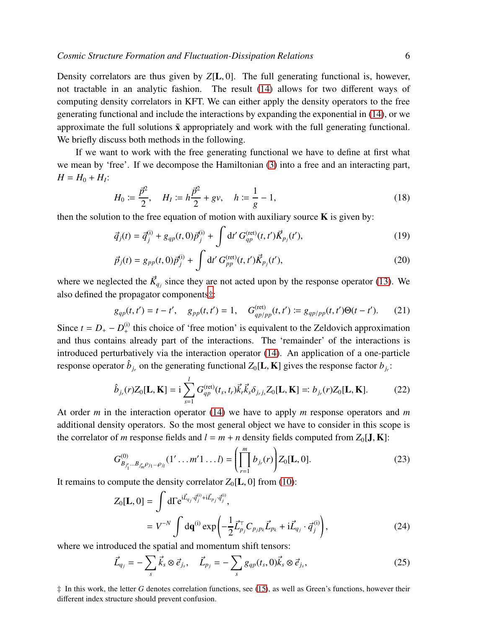Density correlators are thus given by *Z*[L, 0]. The full generating functional is, however, not tractable in an analytic fashion. The result [\(14\)](#page-4-1) allows for two different ways of computing density correlators in KFT. We can either apply the density operators to the free generating functional and include the interactions by expanding the exponential in [\(14\)](#page-4-1), or we approximate the full solutions  $\bar{x}$  appropriately and work with the full generating functional. We briefly discuss both methods in the following.

If we want to work with the free generating functional we have to define at first what we mean by 'free'. If we decompose the Hamiltonian [\(3\)](#page-2-2) into a free and an interacting part,  $H = H_0 + H_I$ :

<span id="page-5-3"></span>
$$
H_0 := \frac{\vec{p}^2}{2}, \quad H_I := h\frac{\vec{p}^2}{2} + gv, \quad h := \frac{1}{g} - 1,\tag{18}
$$

then the solution to the free equation of motion with auxiliary source  $\bf{K}$  is given by:

<span id="page-5-1"></span>
$$
\vec{q}_j(t) = \vec{q}_j^{(i)} + g_{qp}(t, 0)\vec{p}_j^{(i)} + \int dt' G_{qp}^{(\text{ret})}(t, t')\vec{K}_{p_j}(t'),\tag{19}
$$

$$
\vec{p}_j(t) = g_{pp}(t,0)\vec{p}_j^{(i)} + \int dt' G_{pp}^{(\text{ret})}(t,t')\vec{K}_{p_j}(t'),
$$
\n(20)

where we neglected the  $\vec{K}_{q_j}$  since they are not acted upon by the response operator [\(13\)](#page-4-2). We also defined the propagator components[‡](#page-5-0):

<span id="page-5-2"></span>
$$
g_{qp}(t,t') = t - t', \quad g_{pp}(t,t') = 1, \quad G_{qp/pp}^{(\text{ret})}(t,t') \coloneqq g_{qp/pp}(t,t')\Theta(t-t'). \tag{21}
$$

Since  $t = D_+ - D_+^{(i)}$  this choice of 'free motion' is equivalent to the Zeldovich approximation and thus contains already part of the interactions. The 'remainder' of the interactions is introduced perturbatively via the interaction operator [\(14\)](#page-4-1). An application of a one-particle response operator  $\hat{b}_{j_r}$  on the generating functional  $Z_0[L, K]$  gives the response factor  $b_{j_r}$ :

$$
\hat{b}_{j_r}(r)Z_0[\mathbf{L}, \mathbf{K}] = \mathbf{i} \sum_{s=1}^{l} G_{qp}^{(\text{ret})}(t_s, t_r) \vec{k}_r \vec{k}_s \delta_{j_r j_s} Z_0[\mathbf{L}, \mathbf{K}] =: b_{j_r}(r)Z_0[\mathbf{L}, \mathbf{K}].
$$
 (22)

At order *m* in the interaction operator [\(14\)](#page-4-1) we have to apply *m* response operators and *m* additional density operators. So the most general object we have to consider in this scope is the correlator of *m* response fields and  $l = m + n$  density fields computed from  $Z_0[\mathbf{J}, \mathbf{K}]$ :

$$
G_{B_{j'_1}...B_{j'_m}\rho_{j_1}...\rho_{j_l}}^{(0)}(1'\ldots m'1\ldots l)=\left(\prod_{r=1}^m b_{j_r}(r)\right)Z_0[\mathbf{L},0].
$$
\n(23)

It remains to compute the density correlator  $Z_0[\mathbf{L}, 0]$  from [\(10\)](#page-4-3):

$$
Z_0[\mathbf{L}, 0] = \int d\Gamma e^{i\vec{L}_{q_j} \cdot \vec{q}_j^{(i)} + i\vec{L}_{p_j} \cdot \vec{q}_j^{(i)}},
$$
  
=  $V^{-N} \int d\mathbf{q}^{(i)} \exp\left(-\frac{1}{2} \vec{L}_{p_j}^{\top} C_{p_j p_k} \vec{L}_{p_k} + i\vec{L}_{q_j} \cdot \vec{q}_j^{(i)}\right),$  (24)

where we introduced the spatial and momentum shift tensors:

$$
\vec{L}_{q_j} = -\sum_s \vec{k}_s \otimes \vec{e}_{j_s}, \quad \vec{L}_{p_j} = -\sum_s g_{qp}(t_s, 0)\vec{k}_s \otimes \vec{e}_{j_s}, \tag{25}
$$

<span id="page-5-0"></span>‡ In this work, the letter *G* denotes correlation functions, see [\(15\)](#page-4-4), as well as Green's functions, however their different index structure should prevent confusion.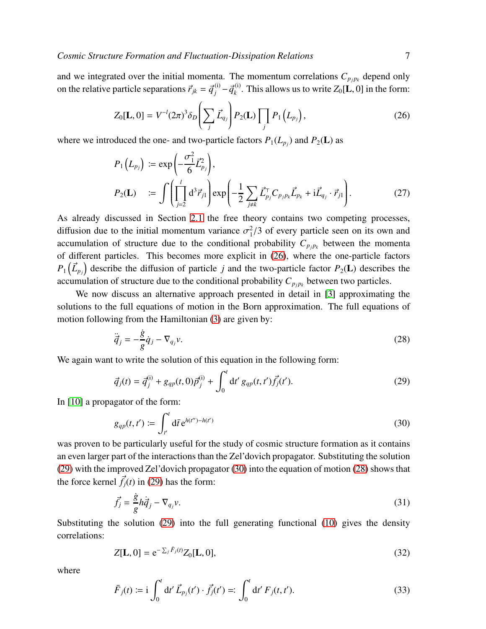and we integrated over the initial momenta. The momentum correlations  $C_{p_j p_k}$  depend only on the relative particle separations  $\vec{r}_{jk} = \vec{q}_j^{(i)} - \vec{q}_k^{(i)}$  $\chi_k^{(1)}$ . This allows us to write  $Z_0[\mathbf{L}, 0]$  in the form:

<span id="page-6-0"></span>
$$
Z_0[\mathbf{L},0] = V^{-l}(2\pi)^3 \delta_D \left( \sum_j \vec{L}_{q_j} \right) P_2(\mathbf{L}) \prod_j P_1 \left( L_{p_j} \right), \tag{26}
$$

where we introduced the one- and two-particle factors  $P_1(L_{p_j})$  and  $P_2(L)$  as

<span id="page-6-4"></span>
$$
P_1(L_{p_j}) := \exp\left(-\frac{\sigma_1^2}{6}\vec{L}_{p_j}^2\right),
$$
  
\n
$$
P_2(\mathbf{L}) := \int \left(\prod_{j=2}^l d^3 \vec{r}_{j1}\right) \exp\left(-\frac{1}{2} \sum_{j \neq k} \vec{L}_{p_j}^{\top} C_{p_j p_k} \vec{L}_{p_k} + i \vec{L}_{q_j} \cdot \vec{r}_{j1}\right).
$$
 (27)

As already discussed in Section [2.1](#page-2-3) the free theory contains two competing processes, diffusion due to the initial momentum variance  $\sigma_1^2/3$  of every particle seen on its own and accumulation of structure due to the conditional probability  $C_{p_j p_k}$  between the momenta of different particles. This becomes more explicit in [\(26\)](#page-6-0), where the one-particle factors  $P_1(\vec{L}_{p_j})$  describe the diffusion of particle *j* and the two-particle factor  $P_2(L)$  describes the accumulation of structure due to the conditional probability  $C_{p_j p_k}$  between two particles.

We now discuss an alternative approach presented in detail in [\[3\]](#page-27-2) approximating the solutions to the full equations of motion in the Born approximation. The full equations of motion following from the Hamiltonian [\(3\)](#page-2-2) are given by:

<span id="page-6-3"></span>
$$
\ddot{\vec{q}}_j = -\frac{\dot{g}}{g}\dot{q}_j - \nabla_{q_j}v. \tag{28}
$$

We again want to write the solution of this equation in the following form:

<span id="page-6-1"></span>
$$
\vec{q}_j(t) = \vec{q}_j^{(i)} + g_{qp}(t, 0)\vec{p}_j^{(i)} + \int_0^t dt' g_{qp}(t, t')\vec{f}_j(t').
$$
\n(29)

In [\[10\]](#page-27-9) a propagator of the form:

<span id="page-6-2"></span>
$$
g_{qp}(t, t') := \int_{t'}^{t} d\bar{t} e^{h(t') - h(t')}
$$
 (30)

was proven to be particularly useful for the study of cosmic structure formation as it contains an even larger part of the interactions than the Zel'dovich propagator. Substituting the solution [\(29\)](#page-6-1) with the improved Zel'dovich propagator [\(30\)](#page-6-2) into the equation of motion [\(28\)](#page-6-3) shows that the force kernel  $\vec{f}_j(t)$  in [\(29\)](#page-6-1) has the form:

$$
\vec{f}_j = \frac{\dot{g}}{g} h \dot{\vec{q}}_j - \nabla_{q_j} v. \tag{31}
$$

Substituting the solution [\(29\)](#page-6-1) into the full generating functional [\(10\)](#page-4-3) gives the density correlations:

$$
Z[\mathbf{L},0] = e^{-\sum_{j} \bar{F}_{j}(t)} Z_{0}[\mathbf{L},0],
$$
\n(32)

where

$$
\bar{F}_j(t) := \mathbf{i} \int_0^t \mathrm{d}t' \, \vec{L}_{p_j}(t') \cdot \vec{f}_j(t') =: \int_0^t \mathrm{d}t' \, F_j(t, t'). \tag{33}
$$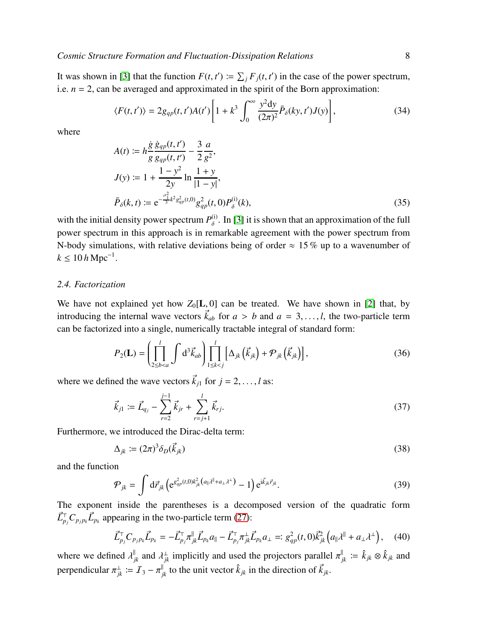It was shown in [\[3\]](#page-27-2) that the function  $F(t, t') \coloneqq \sum_j F_j(t, t')$  in the case of the power spectrum, i.e.  $n = 2$ , can be averaged and approximated in the spirit of the Born approximation:

$$
\langle F(t,t')\rangle = 2g_{qp}(t,t')A(t')\left[1+k^3\int_0^\infty \frac{y^2\mathrm{d}y}{(2\pi)^2}\bar{P}_\delta(ky,t')J(y)\right],\tag{34}
$$

where

$$
A(t) := h \frac{\dot{g}}{g} \frac{\dot{g}_{qp}(t, t')}{g_{qp}(t, t')} - \frac{3}{2} \frac{a}{g^2},
$$
  
\n
$$
J(y) := 1 + \frac{1 - y^2}{2y} \ln \frac{1 + y}{|1 - y|},
$$
  
\n
$$
\bar{P}_{\delta}(k, t) := e^{-\frac{\sigma_1^2}{3}k^2 g_{qp}^2(t, 0)} g_{qp}^2(t, 0) P_{\delta}^{(i)}(k),
$$
\n(35)

with the initial density power spectrum  $P_{\delta}^{(i)}$  $\delta^{(1)}$ . In [\[3\]](#page-27-2) it is shown that an approximation of the full power spectrum in this approach is in remarkable agreement with the power spectrum from N-body simulations, with relative deviations being of order  $\approx 15\%$  up to a wavenumber of  $k \le 10 h \, \text{Mpc}^{-1}$ .

#### *2.4. Factorization*

We have not explained yet how  $Z_0[L, 0]$  can be treated. We have shown in [\[2\]](#page-27-1) that, by introducing the internal wave vectors  $\vec{k}_{ab}$  for  $a > b$  and  $a = 3, \ldots, l$ , the two-particle term can be factorized into a single, numerically tractable integral of standard form:

$$
P_2(\mathbf{L}) = \left(\prod_{2 \le b < a}^{l} \int d^3 \vec{k}_{ab}\right) \prod_{1 \le k < j}^{l} \left[\Delta_{jk} \left(\vec{k}_{jk}\right) + \mathcal{P}_{jk} \left(\vec{k}_{jk}\right)\right],\tag{36}
$$

where we defined the wave vectors  $\vec{k}_{i1}$  for  $j = 2, \ldots, l$  as:

$$
\vec{k}_{j1} := \vec{L}_{q_j} - \sum_{r=2}^{j-1} \vec{k}_{jr} + \sum_{r=j+1}^{l} \vec{k}_{rj}.
$$
 (37)

Furthermore, we introduced the Dirac-delta term:

$$
\Delta_{jk} \coloneqq (2\pi)^3 \delta_D(\vec{k}_{jk}) \tag{38}
$$

and the function

$$
\mathcal{P}_{jk} = \int \mathrm{d}\vec{r}_{jk} \left( e^{g_{qp}^2(t,0)k_{jk}^2 \left( a_{\parallel} \lambda^{\parallel} + a_{\perp} \lambda^{\perp} \right)} - 1 \right) e^{i \vec{k}_{jk} \vec{r}_{jk}}.
$$
\n(39)

The exponent inside the parentheses is a decomposed version of the quadratic form  $\vec{L}_{p_j}^{\top}C_{p_jp_k}\vec{L}_{p_k}$  appearing in the two-particle term [\(27\)](#page-6-4):

$$
\vec{L}_{p_j}^{\top} C_{p_j p_k} \vec{L}_{p_k} = -\vec{L}_{p_j}^{\top} \pi_{jk}^{\parallel} \vec{L}_{p_k} a_{\parallel} - \vec{L}_{p_j}^{\top} \pi_{jk}^{\perp} \vec{L}_{p_k} a_{\perp} =: g_{qp}^2(t, 0) \vec{k}_{jk}^2 \left( a_{\parallel} \lambda^{\parallel} + a_{\perp} \lambda^{\perp} \right), \quad (40)
$$

where we defined  $\lambda_{jk}^{\parallel}$  and  $\lambda_{jk}^{\perp}$  implicitly and used the projectors parallel  $\pi_{jk}^{\parallel} := \hat{k}_{jk} \otimes \hat{k}_{jk}$  and perpendicular  $\pi_{jk}^{\perp} := \mathcal{I}_3 - \pi_{jk}^{\parallel}$  to the unit vector  $\hat{k}_{jk}$  in the direction of  $\vec{k}_{jk}$ .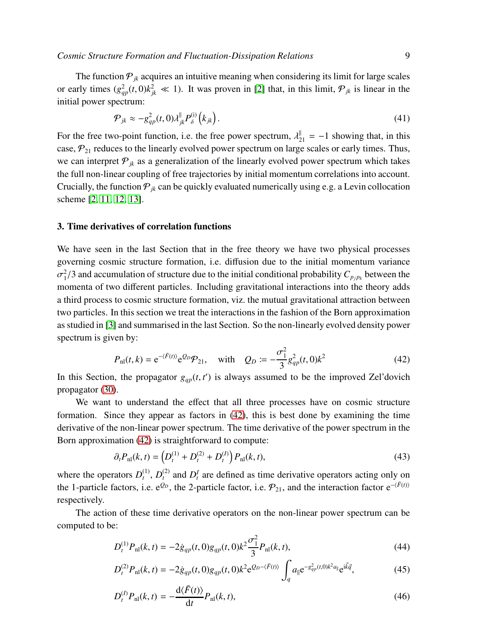The function  $P_{jk}$  acquires an intuitive meaning when considering its limit for large scales or early times  $(g_{qp}^2(t,0)k_{jk}^2 \ll 1)$ . It was proven in [\[2\]](#page-27-1) that, in this limit,  $\mathcal{P}_{jk}$  is linear in the initial power spectrum:

<span id="page-8-3"></span>
$$
\mathcal{P}_{jk} \approx -g_{qp}^2(t,0)\lambda_{jk}^{\parallel} P_{\delta}^{(i)}\left(k_{jk}\right). \tag{41}
$$

For the free two-point function, i.e. the free power spectrum,  $\lambda_{21}^{\parallel} = -1$  showing that, in this case,  $\mathcal{P}_{21}$  reduces to the linearly evolved power spectrum on large scales or early times. Thus, we can interpret  $P_{ik}$  as a generalization of the linearly evolved power spectrum which takes the full non-linear coupling of free trajectories by initial momentum correlations into account. Crucially, the function  $P_{jk}$  can be quickly evaluated numerically using e.g. a Levin collocation scheme [\[2,](#page-27-1) [11,](#page-27-10) [12,](#page-27-11) [13\]](#page-27-12).

#### <span id="page-8-0"></span>3. Time derivatives of correlation functions

We have seen in the last Section that in the free theory we have two physical processes governing cosmic structure formation, i.e. diffusion due to the initial momentum variance  $\sigma_1^2$  $^{2}_{1}/3$  and accumulation of structure due to the initial conditional probability  $C_{p_jp_k}$  between the momenta of two different particles. Including gravitational interactions into the theory adds a third process to cosmic structure formation, viz. the mutual gravitational attraction between two particles. In this section we treat the interactions in the fashion of the Born approximation as studied in [\[3\]](#page-27-2) and summarised in the last Section. So the non-linearly evolved density power spectrum is given by:

<span id="page-8-1"></span>
$$
P_{\rm nl}(t,k) = e^{-(\bar{F}(t))} e^{Q_D} \mathcal{P}_{21}, \quad \text{with} \quad Q_D := -\frac{\sigma_1^2}{3} g_{qp}^2(t,0) k^2 \tag{42}
$$

In this Section, the propagator  $g_{qp}(t, t')$  is always assumed to be the improved Zel'dovich propagator [\(30\)](#page-6-2).

We want to understand the effect that all three processes have on cosmic structure formation. Since they appear as factors in [\(42\)](#page-8-1), this is best done by examining the time derivative of the non-linear power spectrum. The time derivative of the power spectrum in the Born approximation [\(42\)](#page-8-1) is straightforward to compute:

<span id="page-8-4"></span>
$$
\partial_t P_{\rm nl}(k,t) = \left( D_t^{(1)} + D_t^{(2)} + D_t^{(I)} \right) P_{\rm nl}(k,t),\tag{43}
$$

where the operators  $D_t^{(1)}$  $_{t}^{(1)}, D_{t}^{(2)}$  $L_t^{(2)}$  and  $D_t^I$  are defined as time derivative operators acting only on the 1-particle factors, i.e. e<sup> $Q_D$ </sup>, the 2-particle factor, i.e.  $\mathcal{P}_{21}$ , and the interaction factor e<sup>- $\langle \bar{F}^{(t)} \rangle$ </sup> respectively.

The action of these time derivative operators on the non-linear power spectrum can be computed to be:

dh*F*¯(*t*)i

<span id="page-8-2"></span>
$$
D_t^{(1)}P_{\rm nl}(k,t) = -2\dot{g}_{qp}(t,0)g_{qp}(t,0)k^2\frac{\sigma_1^2}{3}P_{\rm nl}(k,t),\tag{44}
$$

$$
D_t^{(2)}P_{\rm nl}(k,t) = -2\dot{g}_{qp}(t,0)g_{qp}(t,0)k^2 e^{Q_D - \langle \bar{F}(t) \rangle} \int_q a_{\parallel} e^{-g_{qp}^2(t,0)k^2 a_{\parallel}} e^{i\vec{k}\vec{q}},\tag{45}
$$

$$
D_t^{(I)} P_{\rm nl}(k, t) = -\frac{\mathrm{d}\langle F(t) \rangle}{\mathrm{d}t} P_{\rm nl}(k, t),\tag{46}
$$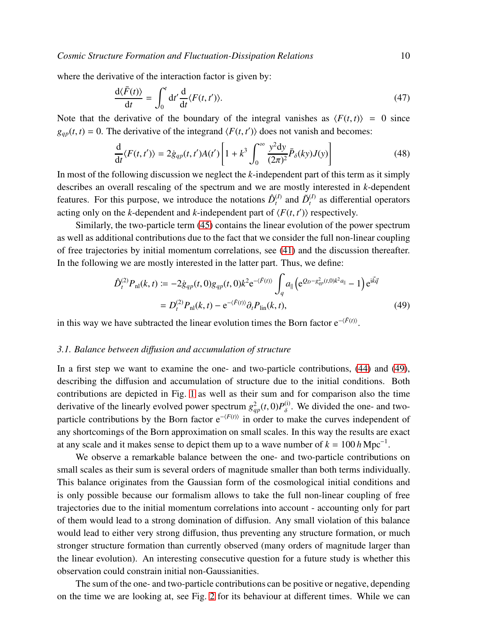where the derivative of the interaction factor is given by:

$$
\frac{\mathrm{d}\langle\bar{F}(t)\rangle}{\mathrm{d}t} = \int_0^t \mathrm{d}t' \frac{\mathrm{d}}{\mathrm{d}t} \langle F(t, t')\rangle. \tag{47}
$$

Note that the derivative of the boundary of the integral vanishes as  $\langle F(t,t) \rangle = 0$  since  $g_{qp}(t, t) = 0$ . The derivative of the integrand  $\langle F(t, t') \rangle$  does not vanish and becomes:

$$
\frac{\mathrm{d}}{\mathrm{d}t} \langle F(t, t') \rangle = 2 \dot{g}_{qp}(t, t') A(t') \left[ 1 + k^3 \int_0^\infty \frac{y^2 \mathrm{d}y}{(2\pi)^2} \bar{P}_\delta(ky) J(y) \right] \tag{48}
$$

In most of the following discussion we neglect the *k*-independent part of this term as it simply describes an overall rescaling of the spectrum and we are mostly interested in *k*-dependent features. For this purpose, we introduce the notations  $\hat{D}_t^{(I)}$  $L_t^{(I)}$  and  $\tilde{D}_t^{(I)}$  $t_t^{(I)}$  as differential operators acting only on the *k*-dependent and *k*-independent part of  $\langle F(t, t') \rangle$  respectively.

Similarly, the two-particle term [\(45\)](#page-8-2) contains the linear evolution of the power spectrum as well as additional contributions due to the fact that we consider the full non-linear coupling of free trajectories by initial momentum correlations, see [\(41\)](#page-8-3) and the discussion thereafter. In the following we are mostly interested in the latter part. Thus, we define:

<span id="page-9-0"></span>
$$
\hat{D}_{t}^{(2)}P_{\text{nl}}(k,t) := -2\dot{g}_{qp}(t,0)g_{qp}(t,0)k^{2}e^{-\langle\bar{F}(t)\rangle}\int_{q} a_{\parallel}\left(e^{Q_{D}-g_{qp}^{2}(t,0)k^{2}a_{\parallel}}-1\right)e^{i\vec{k}\vec{q}}
$$
\n
$$
= D_{t}^{(2)}P_{\text{nl}}(k,t) - e^{-\langle\bar{F}(t)\rangle}\partial_{t}P_{\text{lin}}(k,t), \tag{49}
$$

in this way we have subtracted the linear evolution times the Born factor  $e^{-\langle \bar{F}(t) \rangle}$ .

## *3.1. Balance between di*ff*usion and accumulation of structure*

In a first step we want to examine the one- and two-particle contributions, [\(44\)](#page-8-2) and [\(49\)](#page-9-0), describing the diffusion and accumulation of structure due to the initial conditions. Both contributions are depicted in Fig. [1](#page-10-0) as well as their sum and for comparison also the time derivative of the linearly evolved power spectrum  $g_{qp}^2(t, 0)P_\delta^{(i)}$  $\delta^{(1)}$ . We divided the one- and twoparticle contributions by the Born factor e<sup>- $\langle F(t) \rangle$ </sup> in order to make the curves independent of any shortcomings of the Born approximation on small scales. In this way the results are exact at any scale and it makes sense to depict them up to a wave number of  $k = 100 h \text{ Mpc}^{-1}$ .

We observe a remarkable balance between the one- and two-particle contributions on small scales as their sum is several orders of magnitude smaller than both terms individually. This balance originates from the Gaussian form of the cosmological initial conditions and is only possible because our formalism allows to take the full non-linear coupling of free trajectories due to the initial momentum correlations into account - accounting only for part of them would lead to a strong domination of diffusion. Any small violation of this balance would lead to either very strong diffusion, thus preventing any structure formation, or much stronger structure formation than currently observed (many orders of magnitude larger than the linear evolution). An interesting consecutive question for a future study is whether this observation could constrain initial non-Gaussianities.

The sum of the one- and two-particle contributions can be positive or negative, depending on the time we are looking at, see Fig. [2](#page-11-0) for its behaviour at different times. While we can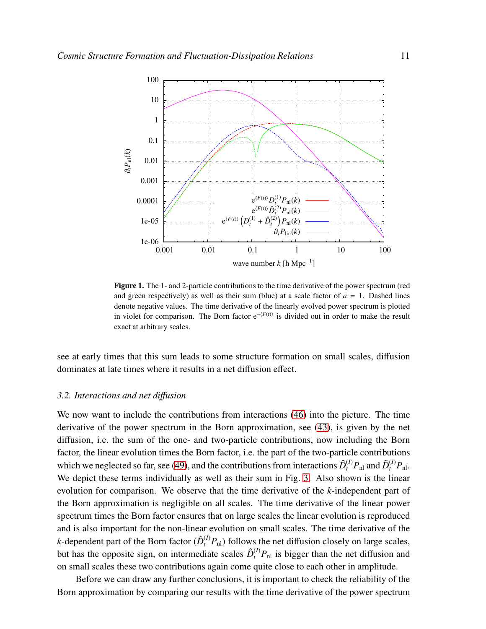

<span id="page-10-0"></span>Figure 1. The 1- and 2-particle contributions to the time derivative of the power spectrum (red and green respectively) as well as their sum (blue) at a scale factor of  $a = 1$ . Dashed lines denote negative values. The time derivative of the linearly evolved power spectrum is plotted in violet for comparison. The Born factor  $e^{-\langle F(t) \rangle}$  is divided out in order to make the result exact at arbitrary scales.

see at early times that this sum leads to some structure formation on small scales, diffusion dominates at late times where it results in a net diffusion effect.

# *3.2. Interactions and net di*ff*usion*

We now want to include the contributions from interactions [\(46\)](#page-8-2) into the picture. The time derivative of the power spectrum in the Born approximation, see [\(43\)](#page-8-4), is given by the net diffusion, i.e. the sum of the one- and two-particle contributions, now including the Born factor, the linear evolution times the Born factor, i.e. the part of the two-particle contributions which we neglected so far, see [\(49\)](#page-9-0), and the contributions from interactions  $\hat{D}_t^{(I)}P_{\text{nl}}$  and  $\tilde{D}_t^{(I)}P_{\text{nl}}$ . We depict these terms individually as well as their sum in Fig. [3.](#page-11-1) Also shown is the linear evolution for comparison. We observe that the time derivative of the *k*-independent part of the Born approximation is negligible on all scales. The time derivative of the linear power spectrum times the Born factor ensures that on large scales the linear evolution is reproduced and is also important for the non-linear evolution on small scales. The time derivative of the *k*-dependent part of the Born factor  $(\hat{D}_{t}^{(I)}P_{\text{nl}})$  follows the net diffusion closely on large scales, but has the opposite sign, on intermediate scales  $\hat{D}_t^{(I)}P_{\text{nl}}$  is bigger than the net diffusion and on small scales these two contributions again come quite close to each other in amplitude.

Before we can draw any further conclusions, it is important to check the reliability of the Born approximation by comparing our results with the time derivative of the power spectrum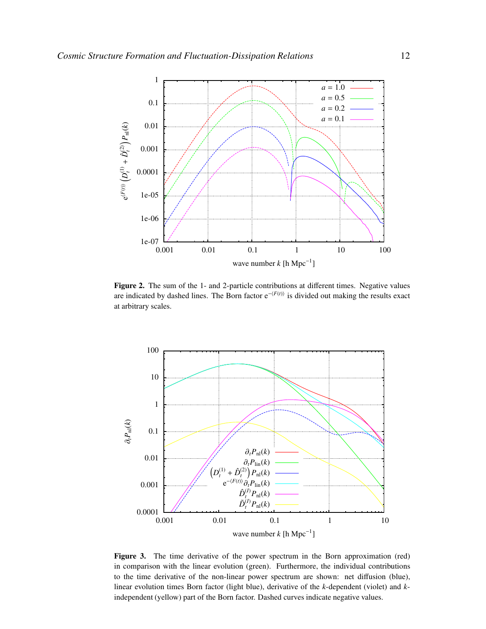

<span id="page-11-0"></span>Figure 2. The sum of the 1- and 2-particle contributions at different times. Negative values are indicated by dashed lines. The Born factor e<sup>- $\langle F(t) \rangle$ </sup> is divided out making the results exact at arbitrary scales.



<span id="page-11-1"></span>Figure 3. The time derivative of the power spectrum in the Born approximation (red) in comparison with the linear evolution (green). Furthermore, the individual contributions to the time derivative of the non-linear power spectrum are shown: net diffusion (blue), linear evolution times Born factor (light blue), derivative of the *k*-dependent (violet) and *k*independent (yellow) part of the Born factor. Dashed curves indicate negative values.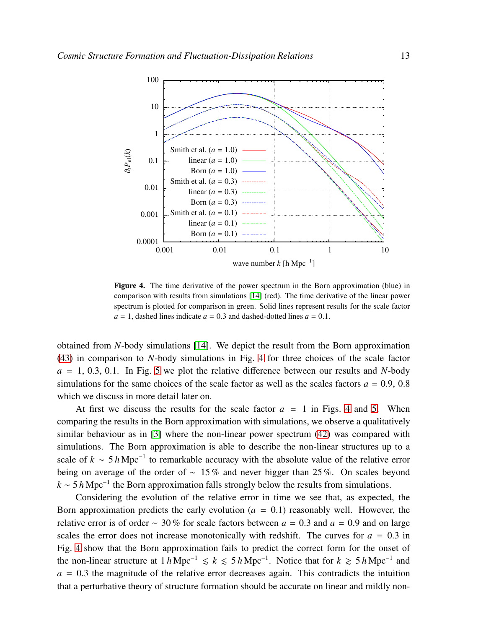

<span id="page-12-0"></span>Figure 4. The time derivative of the power spectrum in the Born approximation (blue) in comparison with results from simulations [\[14\]](#page-27-13) (red). The time derivative of the linear power spectrum is plotted for comparison in green. Solid lines represent results for the scale factor  $a = 1$ , dashed lines indicate  $a = 0.3$  and dashed-dotted lines  $a = 0.1$ .

obtained from *N*-body simulations [\[14\]](#page-27-13). We depict the result from the Born approximation [\(43\)](#page-8-4) in comparison to *N*-body simulations in Fig. [4](#page-12-0) for three choices of the scale factor  $a = 1, 0.3, 0.1$ . In Fig. [5](#page-13-0) we plot the relative difference between our results and *N*-body simulations for the same choices of the scale factor as well as the scales factors  $a = 0.9, 0.8$ which we discuss in more detail later on.

At first we discuss the results for the scale factor  $a = 1$  in Figs. [4](#page-12-0) and [5.](#page-13-0) When comparing the results in the Born approximation with simulations, we observe a qualitatively similar behaviour as in [\[3\]](#page-27-2) where the non-linear power spectrum [\(42\)](#page-8-1) was compared with simulations. The Born approximation is able to describe the non-linear structures up to a scale of  $k \sim 5 h \text{ Mpc}^{-1}$  to remarkable accuracy with the absolute value of the relative error being on average of the order of ∼ 15 % and never bigger than 25 %. On scales beyond  $k \sim 5 h \text{ Mpc}^{-1}$  the Born approximation falls strongly below the results from simulations.

Considering the evolution of the relative error in time we see that, as expected, the Born approximation predicts the early evolution  $(a = 0.1)$  reasonably well. However, the relative error is of order  $\sim$  30% for scale factors between  $a = 0.3$  and  $a = 0.9$  and on large scales the error does not increase monotonically with redshift. The curves for  $a = 0.3$  in Fig. [4](#page-12-0) show that the Born approximation fails to predict the correct form for the onset of the non-linear structure at  $1 h \text{ Mpc}^{-1}$   $\le k \le 5 h \text{ Mpc}^{-1}$ . Notice that for  $k \ge 5 h \text{ Mpc}^{-1}$  and  $a = 0.3$  the magnitude of the relative error decreases again. This contradicts the intuition that a perturbative theory of structure formation should be accurate on linear and mildly non-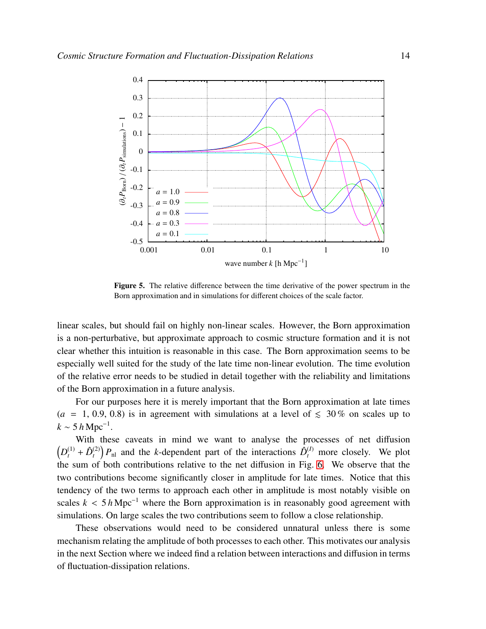

<span id="page-13-0"></span>Figure 5. The relative difference between the time derivative of the power spectrum in the Born approximation and in simulations for different choices of the scale factor.

linear scales, but should fail on highly non-linear scales. However, the Born approximation is a non-perturbative, but approximate approach to cosmic structure formation and it is not clear whether this intuition is reasonable in this case. The Born approximation seems to be especially well suited for the study of the late time non-linear evolution. The time evolution of the relative error needs to be studied in detail together with the reliability and limitations of the Born approximation in a future analysis.

For our purposes here it is merely important that the Born approximation at late times  $(a = 1, 0.9, 0.8)$  is in agreement with simulations at a level of  $\leq 30\%$  on scales up to  $k \sim 5 h \,\text{Mpc}^{-1}$ .

With these caveats in mind we want to analyse the processes of net diffusion  $\left(D_t^{(1)} + \hat{D}_t^{(2)}\right)$  $\binom{2}{t} P_{\text{nl}}$  and the *k*-dependent part of the interactions  $\hat{D}_{t}^{(I)}$  more closely. We plot the sum of both contributions relative to the net diffusion in Fig. [6.](#page-14-1) We observe that the two contributions become significantly closer in amplitude for late times. Notice that this tendency of the two terms to approach each other in amplitude is most notably visible on scales  $k < 5 h \text{ Mpc}^{-1}$  where the Born approximation is in reasonably good agreement with simulations. On large scales the two contributions seem to follow a close relationship.

These observations would need to be considered unnatural unless there is some mechanism relating the amplitude of both processes to each other. This motivates our analysis in the next Section where we indeed find a relation between interactions and diffusion in terms of fluctuation-dissipation relations.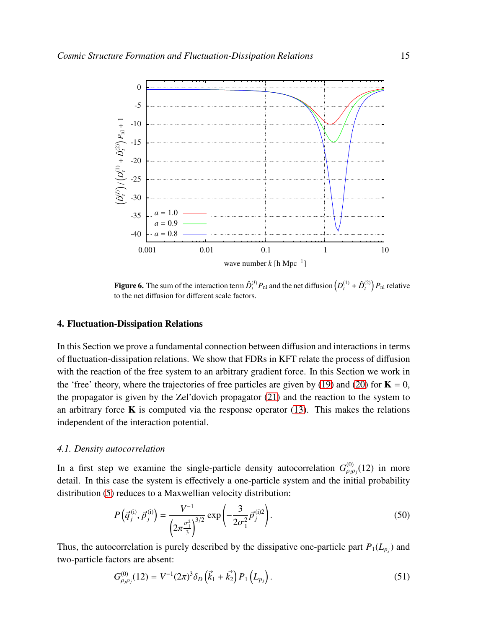

<span id="page-14-1"></span>Figure 6. The sum of the interaction term  $\hat{D}_{t}^{(I)}P_{\text{nl}}$  and the net diffusion  $(D_{t}^{(1)} + \hat{D}_{t}^{(2)})P_{\text{nl}}$  relative to the net diffusion for different scale factors.

# <span id="page-14-0"></span>4. Fluctuation-Dissipation Relations

In this Section we prove a fundamental connection between diffusion and interactions in terms of fluctuation-dissipation relations. We show that FDRs in KFT relate the process of diffusion with the reaction of the free system to an arbitrary gradient force. In this Section we work in the 'free' theory, where the trajectories of free particles are given by [\(19\)](#page-5-1) and [\(20\)](#page-5-1) for  $K = 0$ , the propagator is given by the Zel'dovich propagator [\(21\)](#page-5-2) and the reaction to the system to an arbitrary force  $\bf{K}$  is computed via the response operator [\(13\)](#page-4-2). This makes the relations independent of the interaction potential.

#### *4.1. Density autocorrelation*

In a first step we examine the single-particle density autocorrelation  $G_{\rho_j\rho_j}^{(0)}(12)$  in more detail. In this case the system is effectively a one-particle system and the initial probability distribution [\(5\)](#page-2-1) reduces to a Maxwellian velocity distribution:

$$
P\left(\vec{q}_j^{(i)}, \vec{p}_j^{(i)}\right) = \frac{V^{-1}}{\left(2\pi \frac{\sigma_1^2}{3}\right)^{3/2}} \exp\left(-\frac{3}{2\sigma_1^2} \vec{p}_j^{(i)2}\right).
$$
 (50)

Thus, the autocorrelation is purely described by the dissipative one-particle part  $P_1(L_{p_j})$  and two-particle factors are absent:

$$
G_{\rho_j\rho_j}^{(0)}(12) = V^{-1}(2\pi)^3 \delta_D \left(\vec{k}_1 + \vec{k}_2\right) P_1 \left(L_{p_j}\right). \tag{51}
$$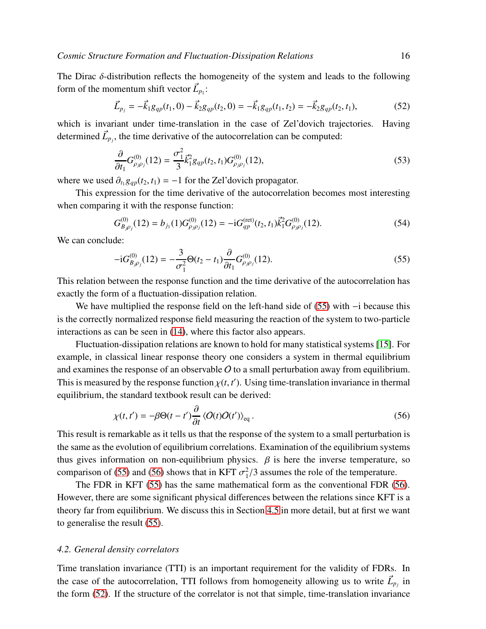The Dirac  $\delta$ -distribution reflects the homogeneity of the system and leads to the following form of the momentum shift vector  $\vec{L}_{p_1}$ :

<span id="page-15-2"></span>
$$
\vec{L}_{p_j} = -\vec{k}_1 g_{qp}(t_1, 0) - \vec{k}_2 g_{qp}(t_2, 0) = -\vec{k}_1 g_{qp}(t_1, t_2) = -\vec{k}_2 g_{qp}(t_2, t_1),
$$
\n(52)

which is invariant under time-translation in the case of Zel'dovich trajectories. Having determined  $\vec{L}_{p_j}$ , the time derivative of the autocorrelation can be computed:

<span id="page-15-3"></span>
$$
\frac{\partial}{\partial t_1} G^{(0)}_{\rho_j \rho_j}(12) = \frac{\sigma_1^2}{3} \vec{k}_1^2 g_{qp}(t_2, t_1) G^{(0)}_{\rho_j \rho_j}(12),\tag{53}
$$

where we used  $\partial_{t_1} g_{qp}(t_2, t_1) = -1$  for the Zel'dovich propagator.

This expression for the time derivative of the autocorrelation becomes most interesting when comparing it with the response function:

$$
G_{B_j \rho_j}^{(0)}(12) = b_{j_1}(1) G_{\rho_j \rho_j}^{(0)}(12) = -i G_{qp}^{(\text{ret})}(t_2, t_1) \vec{k}_1^2 G_{\rho_j \rho_j}^{(0)}(12). \tag{54}
$$

We can conclude:

<span id="page-15-0"></span>
$$
-iG_{B_{j}\rho_{j}}^{(0)}(12) = -\frac{3}{\sigma_{1}^{2}}\Theta(t_{2} - t_{1})\frac{\partial}{\partial t_{1}}G_{\rho_{j}\rho_{j}}^{(0)}(12). \tag{55}
$$

This relation between the response function and the time derivative of the autocorrelation has exactly the form of a fluctuation-dissipation relation.

We have multiplied the response field on the left-hand side of [\(55\)](#page-15-0) with −i because this is the correctly normalized response field measuring the reaction of the system to two-particle interactions as can be seen in [\(14\)](#page-4-1), where this factor also appears.

Fluctuation-dissipation relations are known to hold for many statistical systems [\[15\]](#page-27-14). For example, in classical linear response theory one considers a system in thermal equilibrium and examines the response of an observable  $O$  to a small perturbation away from equilibrium. This is measured by the response function  $\chi(t, t')$ . Using time-translation invariance in thermal equilibrium, the standard textbook result can be derived:

<span id="page-15-1"></span>
$$
\chi(t, t') = -\beta \Theta(t - t') \frac{\partial}{\partial t} \langle O(t)O(t') \rangle_{\text{eq}}.
$$
\n(56)

This result is remarkable as it tells us that the response of the system to a small perturbation is the same as the evolution of equilibrium correlations. Examination of the equilibrium systems thus gives information on non-equilibrium physics.  $\beta$  is here the inverse temperature, so comparison of [\(55\)](#page-15-0) and [\(56\)](#page-15-1) shows that in KFT  $\sigma_1^2$  $^{2}_{1}/3$  assumes the role of the temperature.

The FDR in KFT [\(55\)](#page-15-0) has the same mathematical form as the conventional FDR [\(56\)](#page-15-1). However, there are some significant physical differences between the relations since KFT is a theory far from equilibrium. We discuss this in Section [4.5](#page-20-0) in more detail, but at first we want to generalise the result [\(55\)](#page-15-0).

## *4.2. General density correlators*

Time translation invariance (TTI) is an important requirement for the validity of FDRs. In the case of the autocorrelation, TTI follows from homogeneity allowing us to write  $\vec{L}_{p_j}$  in the form [\(52\)](#page-15-2). If the structure of the correlator is not that simple, time-translation invariance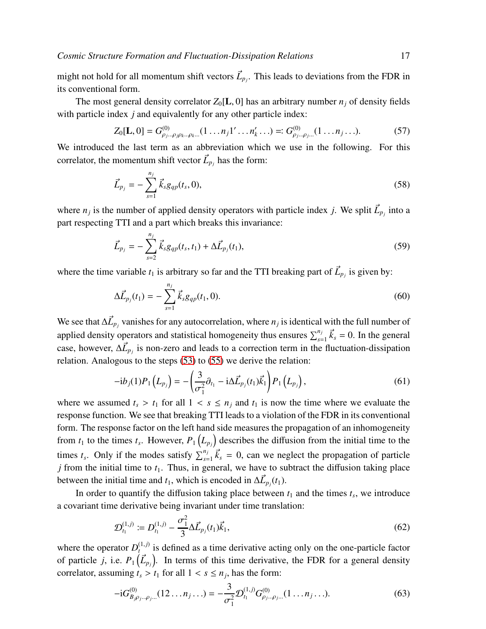might not hold for all momentum shift vectors  $\vec{L}_{p_j}$ . This leads to deviations from the FDR in its conventional form.

The most general density correlator  $Z_0[L, 0]$  has an arbitrary number  $n_i$  of density fields with particle index *j* and equivalently for any other particle index:

$$
Z_0[\mathbf{L},0] = G^{(0)}_{\rho_j...\rho_j\rho_k...\rho_k...}(1 \dots n_j 1' \dots n'_k \dots) =: G^{(0)}_{\rho_j...\rho_j...}(1 \dots n_j \dots).
$$
 (57)

We introduced the last term as an abbreviation which we use in the following. For this correlator, the momentum shift vector  $\vec{L}_{p_j}$  has the form:

$$
\vec{L}_{p_j} = -\sum_{s=1}^{n_j} \vec{k}_s g_{qp}(t_s, 0),
$$
\n(58)

where  $n_j$  is the number of applied density operators with particle index *j*. We split  $\vec{L}_{p_j}$  into a part respecting TTI and a part which breaks this invariance:

$$
\vec{L}_{p_j} = -\sum_{s=2}^{n_j} \vec{k}_s g_{qp}(t_s, t_1) + \Delta \vec{L}_{p_j}(t_1),
$$
\n(59)

where the time variable  $t_1$  is arbitrary so far and the TTI breaking part of  $\vec{L}_{p_j}$  is given by:

<span id="page-16-0"></span>
$$
\Delta \vec{L}_{p_j}(t_1) = -\sum_{s=1}^{n_j} \vec{k}_s g_{qp}(t_1, 0).
$$
\n(60)

We see that  $\Delta \vec{L}_{p_j}$  vanishes for any autocorrelation, where  $n_j$  is identical with the full number of applied density operators and statistical homogeneity thus ensures  $\sum_{s=1}^{n_j} \vec{k}_s = 0$ . In the general case, however,  $\Delta \vec{L}_{p_j}$  is non-zero and leads to a correction term in the fluctuation-dissipation relation. Analogous to the steps [\(53\)](#page-15-3) to [\(55\)](#page-15-0) we derive the relation:

$$
-i b_j(1) P_1(L_{p_j}) = -\left(\frac{3}{\sigma_1^2} \partial_{t_1} - i \Delta \vec{L}_{p_j}(t_1) \vec{k}_1\right) P_1(L_{p_j}), \qquad (61)
$$

where we assumed  $t_s > t_1$  for all  $1 < s \le n_j$  and  $t_1$  is now the time where we evaluate the response function. We see that breaking TTI leads to a violation of the FDR in its conventional form. The response factor on the left hand side measures the propagation of an inhomogeneity from  $t_1$  to the times  $t_s$ . However,  $P_1(L_{p_j})$  describes the diffusion from the initial time to the times  $t_s$ . Only if the modes satisfy  $\sum_{s=1}^{n_j} \vec{k}_s = 0$ , can we neglect the propagation of particle *j* from the initial time to  $t_1$ . Thus, in general, we have to subtract the diffusion taking place between the initial time and  $t_1$ , which is encoded in  $\Delta \vec{L}_{p_j}(t_1)$ .

In order to quantify the diffusion taking place between  $t_1$  and the times  $t_s$ , we introduce a covariant time derivative being invariant under time translation:

$$
\mathcal{D}_{t_1}^{(1,j)} \coloneqq D_{t_1}^{(1,j)} - \frac{\sigma_1^2}{3} \Delta \vec{L}_{p_j}(t_1) \vec{k}_1,\tag{62}
$$

where the operator  $D_t^{(1,j)}$  $t_t^{(1,j)}$  is defined as a time derivative acting only on the one-particle factor of particle *j*, i.e.  $P_1(\vec{L}_{p_j})$ . In terms of this time derivative, the FDR for a general density correlator, assuming  $t_s > t_1$  for all  $1 < s \le n_j$ , has the form:

$$
-iG_{B_j\rho_j\ldots\rho_j\ldots}^{(0)}(12\ldots n_j\ldots) = -\frac{3}{\sigma_1^2} \mathcal{D}_{t_1}^{(1,j)} G_{\rho_j\ldots\rho_j\ldots}^{(0)}(1\ldots n_j\ldots).
$$
 (63)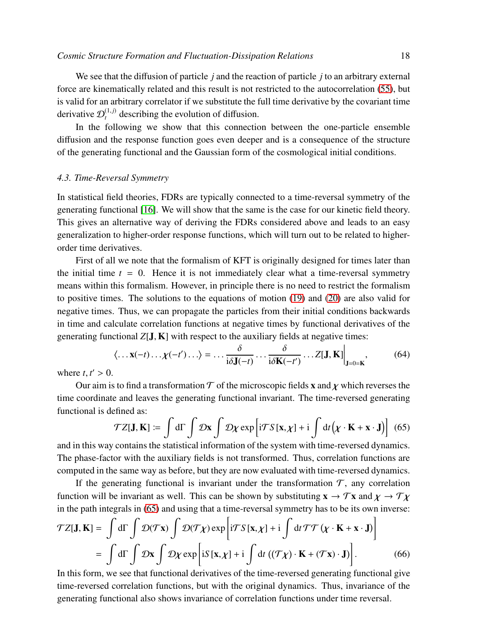We see that the diffusion of particle *j* and the reaction of particle *j* to an arbitrary external force are kinematically related and this result is not restricted to the autocorrelation [\(55\)](#page-15-0), but is valid for an arbitrary correlator if we substitute the full time derivative by the covariant time derivative  $\mathcal{D}_t^{(1,j)}$  describing the evolution of diffusion.

In the following we show that this connection between the one-particle ensemble diffusion and the response function goes even deeper and is a consequence of the structure of the generating functional and the Gaussian form of the cosmological initial conditions.

## *4.3. Time-Reversal Symmetry*

In statistical field theories, FDRs are typically connected to a time-reversal symmetry of the generating functional [\[16\]](#page-27-15). We will show that the same is the case for our kinetic field theory. This gives an alternative way of deriving the FDRs considered above and leads to an easy generalization to higher-order response functions, which will turn out to be related to higherorder time derivatives.

First of all we note that the formalism of KFT is originally designed for times later than the initial time  $t = 0$ . Hence it is not immediately clear what a time-reversal symmetry means within this formalism. However, in principle there is no need to restrict the formalism to positive times. The solutions to the equations of motion [\(19\)](#page-5-1) and [\(20\)](#page-5-1) are also valid for negative times. Thus, we can propagate the particles from their initial conditions backwards in time and calculate correlation functions at negative times by functional derivatives of the generating functional  $Z[\mathbf{J}, \mathbf{K}]$  with respect to the auxiliary fields at negative times:

$$
\langle \dots \mathbf{x}(-t) \dots \chi(-t') \dots \rangle = \dots \frac{\delta}{i\delta \mathbf{J}(-t)} \dots \frac{\delta}{i\delta \mathbf{K}(-t')} \dots Z[\mathbf{J}, \mathbf{K}] \Big|_{\mathbf{J}=0=\mathbf{K}},\tag{64}
$$

where  $t, t' > 0$ .

Our aim is to find a transformation  $\mathcal T$  of the microscopic fields x and  $\chi$  which reverses the time coordinate and leaves the generating functional invariant. The time-reversed generating functional is defined as:

<span id="page-17-0"></span>
$$
\mathcal{T}Z[\mathbf{J}, \mathbf{K}] := \int d\Gamma \int \mathcal{D}\mathbf{x} \int \mathcal{D}\chi \exp\left[i\mathcal{T}S[\mathbf{x}, \chi] + i \int dt (\chi \cdot \mathbf{K} + \mathbf{x} \cdot \mathbf{J})\right]
$$
(65)

and in this way contains the statistical information of the system with time-reversed dynamics. The phase-factor with the auxiliary fields is not transformed. Thus, correlation functions are computed in the same way as before, but they are now evaluated with time-reversed dynamics.

If the generating functional is invariant under the transformation  $\mathcal{T}$ , any correlation function will be invariant as well. This can be shown by substituting  $\mathbf{x} \to \mathcal{T} \mathbf{x}$  and  $\mathbf{x} \to \mathcal{T} \mathbf{x}$ in the path integrals in [\(65\)](#page-17-0) and using that a time-reversal symmetry has to be its own inverse:

$$
\mathcal{T}Z[\mathbf{J}, \mathbf{K}] = \int d\Gamma \int \mathcal{D}(\mathcal{T}\mathbf{x}) \int \mathcal{D}(\mathcal{T}\chi) \exp \left[i\mathcal{T}S[\mathbf{x}, \chi] + i \int dt \mathcal{T}\mathcal{T}(\chi \cdot \mathbf{K} + \mathbf{x} \cdot \mathbf{J})\right]
$$

$$
= \int d\Gamma \int \mathcal{D}\mathbf{x} \int \mathcal{D}\chi \exp \left[iS[\mathbf{x}, \chi] + i \int dt \left((\mathcal{T}\chi) \cdot \mathbf{K} + (\mathcal{T}\mathbf{x}) \cdot \mathbf{J}\right)\right]. \tag{66}
$$

In this form, we see that functional derivatives of the time-reversed generating functional give time-reversed correlation functions, but with the original dynamics. Thus, invariance of the generating functional also shows invariance of correlation functions under time reversal.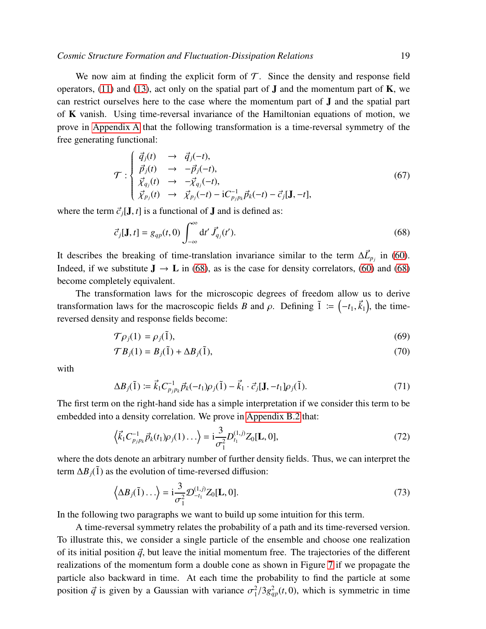We now aim at finding the explicit form of  $\mathcal T$ . Since the density and response field operators, [\(11\)](#page-4-0) and [\(13\)](#page-4-2), act only on the spatial part of  $J$  and the momentum part of  $K$ , we can restrict ourselves here to the case where the momentum part of J and the spatial part of K vanish. Using time-reversal invariance of the Hamiltonian equations of motion, we prove in [Appendix A](#page-22-0) that the following transformation is a time-reversal symmetry of the free generating functional:

<span id="page-18-3"></span>
$$
\mathcal{T}: \begin{cases} \vec{q}_j(t) & \to & \vec{q}_j(-t), \\ \vec{p}_j(t) & \to & -\vec{p}_j(-t), \\ \vec{\chi}_{q_j}(t) & \to & -\vec{\chi}_{q_j}(-t), \\ \vec{\chi}_{p_j}(t) & \to & \vec{\chi}_{p_j}(-t) - iC_{p_jp_k}^{-1} \vec{p}_k(-t) - \vec{c}_j[\mathbf{J}, -t], \end{cases}
$$
(67)

where the term  $\vec{c}_i$ [J, *t*] is a functional of J and is defined as:

<span id="page-18-0"></span>
$$
\vec{c}_j[\mathbf{J},t] = g_{qp}(t,0) \int_{-\infty}^{\infty} dt' \vec{J}_{q_j}(t'). \qquad (68)
$$

It describes the breaking of time-translation invariance similar to the term  $\Delta \vec{L}_{p_j}$  in [\(60\)](#page-16-0). Indeed, if we substitute  $J \rightarrow L$  in [\(68\)](#page-18-0), as is the case for density correlators, [\(60\)](#page-16-0) and [\(68\)](#page-18-0) become completely equivalent.

The transformation laws for the microscopic degrees of freedom allow us to derive transformation laws for the macroscopic fields *B* and  $\rho$ . Defining  $\tilde{1} := (-t_1, \vec{k}_1)$ , the timereversed density and response fields become:

<span id="page-18-1"></span>
$$
\mathcal{T}\rho_j(1) = \rho_j(\tilde{1}),\tag{69}
$$

$$
\mathcal{T}B_j(1) = B_j(\tilde{1}) + \Delta B_j(\tilde{1}),\tag{70}
$$

with

$$
\Delta B_j(\tilde{1}) \coloneqq \vec{k}_1 C_{p_j p_k}^{-1} \vec{p}_k(-t_1) \rho_j(\tilde{1}) - \vec{k}_1 \cdot \vec{c}_j[\mathbf{J}, -t_1] \rho_j(\tilde{1}). \tag{71}
$$

The first term on the right-hand side has a simple interpretation if we consider this term to be embedded into a density correlation. We prove in [Appendix B.2](#page-26-0) that:

<span id="page-18-4"></span>
$$
\left\langle \vec{k}_1 C_{p_j p_k}^{-1} \vec{p}_k(t_1) \rho_j(1) \ldots \right\rangle = i \frac{3}{\sigma_1^2} D_{t_1}^{(1,j)} Z_0[\mathbf{L}, 0],\tag{72}
$$

where the dots denote an arbitrary number of further density fields. Thus, we can interpret the term  $\Delta B_i(\tilde{1})$  as the evolution of time-reversed diffusion:

<span id="page-18-2"></span>
$$
\left\langle \Delta B_j(\tilde{1}) \ldots \right\rangle = i \frac{3}{\sigma_1^2} \mathcal{D}_{-t_1}^{(1,j)} Z_0[\mathbf{L}, 0]. \tag{73}
$$

In the following two paragraphs we want to build up some intuition for this term.

A time-reversal symmetry relates the probability of a path and its time-reversed version. To illustrate this, we consider a single particle of the ensemble and choose one realization of its initial position  $\vec{q}$ , but leave the initial momentum free. The trajectories of the different realizations of the momentum form a double cone as shown in Figure [7](#page-19-0) if we propagate the particle also backward in time. At each time the probability to find the particle at some position  $\vec{q}$  is given by a Gaussian with variance  $\sigma_1^2/3g_{qp}^2(t,0)$ , which is symmetric in time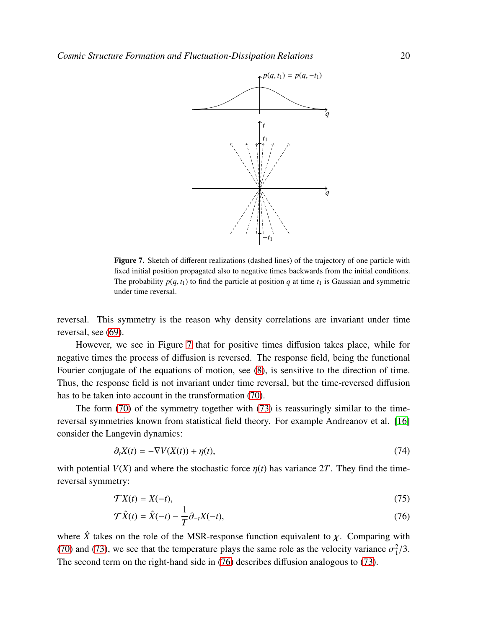

<span id="page-19-0"></span>Figure 7. Sketch of different realizations (dashed lines) of the trajectory of one particle with fixed initial position propagated also to negative times backwards from the initial conditions. The probability  $p(q, t_1)$  to find the particle at position *q* at time  $t_1$  is Gaussian and symmetric under time reversal.

reversal. This symmetry is the reason why density correlations are invariant under time reversal, see [\(69\)](#page-18-1).

However, we see in Figure [7](#page-19-0) that for positive times diffusion takes place, while for negative times the process of diffusion is reversed. The response field, being the functional Fourier conjugate of the equations of motion, see [\(8\)](#page-3-1), is sensitive to the direction of time. Thus, the response field is not invariant under time reversal, but the time-reversed diffusion has to be taken into account in the transformation [\(70\)](#page-18-1).

The form [\(70\)](#page-18-1) of the symmetry together with [\(73\)](#page-18-2) is reassuringly similar to the timereversal symmetries known from statistical field theory. For example Andreanov et al. [\[16\]](#page-27-15) consider the Langevin dynamics:

<span id="page-19-2"></span>
$$
\partial_t X(t) = -\nabla V(X(t)) + \eta(t),\tag{74}
$$

with potential  $V(X)$  and where the stochastic force  $\eta(t)$  has variance 2T. They find the timereversal symmetry:

<span id="page-19-1"></span>
$$
\mathcal{T}X(t) = X(-t),\tag{75}
$$

$$
\mathcal{T}\hat{X}(t) = \hat{X}(-t) - \frac{1}{T}\partial_{-t}X(-t),\tag{76}
$$

where  $\hat{X}$  takes on the role of the MSR-response function equivalent to  $\chi$ . Comparing with [\(70\)](#page-18-1) and [\(73\)](#page-18-2), we see that the temperature plays the same role as the velocity variance  $\sigma_1^2$  $\frac{2}{1}/3$ . The second term on the right-hand side in [\(76\)](#page-19-1) describes diffusion analogous to [\(73\)](#page-18-2).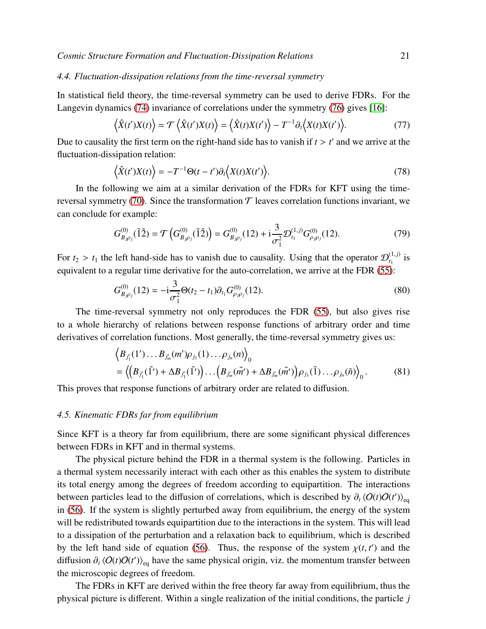# *4.4. Fluctuation-dissipation relations from the time-reversal symmetry*

In statistical field theory, the time-reversal symmetry can be used to derive FDRs. For the Langevin dynamics [\(74\)](#page-19-2) invariance of correlations under the symmetry [\(76\)](#page-19-1) gives [\[16\]](#page-27-15):

$$
\langle \hat{X}(t')X(t) \rangle = \mathcal{T} \langle \hat{X}(t')X(t) \rangle = \langle \hat{X}(t)X(t') \rangle - T^{-1}\partial_t \langle X(t)X(t') \rangle.
$$
 (77)

Due to causality the first term on the right-hand side has to vanish if  $t > t'$  and we arrive at the fluctuation-dissipation relation:

$$
\langle \hat{X}(t')X(t) \rangle = -T^{-1}\Theta(t-t')\partial_t \langle X(t)X(t') \rangle.
$$
\n(78)

In the following we aim at a similar derivation of the FDRs for KFT using the time-reversal symmetry [\(70\)](#page-18-1). Since the transformation  $\mathcal T$  leaves correlation functions invariant, we can conclude for example:

$$
G_{B_{j\rho_{j}}}^{(0)}(\tilde{1}\tilde{2}) = \mathcal{T}\left(G_{B_{j\rho_{j}}}^{(0)}(\tilde{1}\tilde{2})\right) = G_{B_{j\rho_{j}}}^{(0)}(12) + \mathbf{i}\frac{3}{\sigma_{1}^{2}}\mathcal{D}_{t_{1}}^{(1,j)}G_{\rho_{j\rho_{j}}}^{(0)}(12). \tag{79}
$$

For  $t_2 > t_1$  the left hand-side has to vanish due to causality. Using that the operator  $\mathcal{D}_{t_1}^{(1,j)}$  $\int_{t_1}^{(1,J)}$  is equivalent to a regular time derivative for the auto-correlation, we arrive at the FDR [\(55\)](#page-15-0):

$$
G_{B_{j}\rho_{j}}^{(0)}(12) = -i\frac{3}{\sigma_{1}^{2}}\Theta(t_{2} - t_{1})\partial_{t_{1}}G_{\rho_{j}\rho_{j}}^{(0)}(12). \tag{80}
$$

The time-reversal symmetry not only reproduces the FDR [\(55\)](#page-15-0), but also gives rise to a whole hierarchy of relations between response functions of arbitrary order and time derivatives of correlation functions. Most generally, the time-reversal symmetry gives us:

$$
\langle B_{j'_1}(1')...B_{j'_m}(m')\rho_{j_1}(1)... \rho_{j_n}(n) \rangle_0 = \langle (B_{j'_1}(\tilde{1}') + \Delta B_{j'_1}(\tilde{1}'))... (B_{j'_m}(\tilde{m}') + \Delta B_{j'_m}(\tilde{m}') )\rho_{j_1}(\tilde{1})...\rho_{j_n}(\tilde{n}) \rangle_0.
$$
(81)

This proves that response functions of arbitrary order are related to diffusion.

## <span id="page-20-0"></span>*4.5. Kinematic FDRs far from equilibrium*

Since KFT is a theory far from equilibrium, there are some significant physical differences between FDRs in KFT and in thermal systems.

The physical picture behind the FDR in a thermal system is the following. Particles in a thermal system necessarily interact with each other as this enables the system to distribute its total energy among the degrees of freedom according to equipartition. The interactions between particles lead to the diffusion of correlations, which is described by  $\partial_t \langle O(t)O(t') \rangle_{eq}$ in [\(56\)](#page-15-1). If the system is slightly perturbed away from equilibrium, the energy of the system will be redistributed towards equipartition due to the interactions in the system. This will lead to a dissipation of the perturbation and a relaxation back to equilibrium, which is described by the left hand side of equation [\(56\)](#page-15-1). Thus, the response of the system  $\chi(t, t')$  and the diffusion  $\partial_t \langle O(t)O(t')\rangle_{\text{eq}}$  have the same physical origin, viz. the momentum transfer between the microscopic degrees of freedom.

The FDRs in KFT are derived within the free theory far away from equilibrium, thus the physical picture is different. Within a single realization of the initial conditions, the particle *j*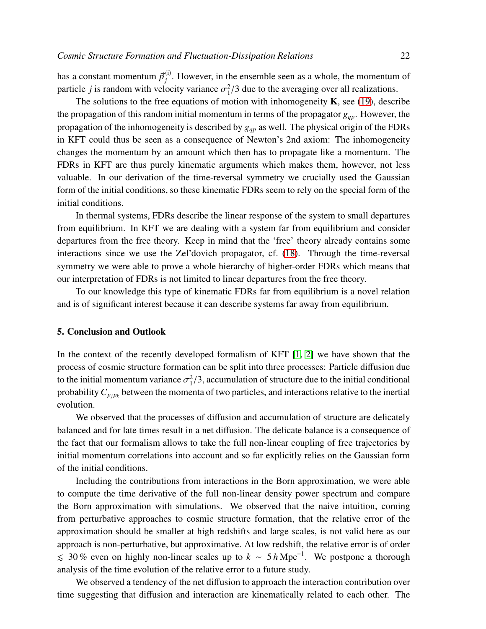has a constant momentum  $\vec{p}^{\text{(i)}}_i$  $j^{(1)}$ . However, in the ensemble seen as a whole, the momentum of particle *j* is random with velocity variance  $\sigma_1^2$  $^{2}_{1}/3$  due to the averaging over all realizations.

The solutions to the free equations of motion with inhomogeneity  $\bf{K}$ , see [\(19\)](#page-5-1), describe the propagation of this random initial momentum in terms of the propagator *gqp*. However, the propagation of the inhomogeneity is described by *gqp* as well. The physical origin of the FDRs in KFT could thus be seen as a consequence of Newton's 2nd axiom: The inhomogeneity changes the momentum by an amount which then has to propagate like a momentum. The FDRs in KFT are thus purely kinematic arguments which makes them, however, not less valuable. In our derivation of the time-reversal symmetry we crucially used the Gaussian form of the initial conditions, so these kinematic FDRs seem to rely on the special form of the initial conditions.

In thermal systems, FDRs describe the linear response of the system to small departures from equilibrium. In KFT we are dealing with a system far from equilibrium and consider departures from the free theory. Keep in mind that the 'free' theory already contains some interactions since we use the Zel'dovich propagator, cf. [\(18\)](#page-5-3). Through the time-reversal symmetry we were able to prove a whole hierarchy of higher-order FDRs which means that our interpretation of FDRs is not limited to linear departures from the free theory.

To our knowledge this type of kinematic FDRs far from equilibrium is a novel relation and is of significant interest because it can describe systems far away from equilibrium.

## <span id="page-21-0"></span>5. Conclusion and Outlook

In the context of the recently developed formalism of KFT [\[1,](#page-27-0) [2\]](#page-27-1) we have shown that the process of cosmic structure formation can be split into three processes: Particle diffusion due to the initial momentum variance  $\sigma_1^2/3$ , accumulation of structure due to the initial conditional probability  $C_{p_j p_k}$  between the momenta of two particles, and interactions relative to the inertial evolution.

We observed that the processes of diffusion and accumulation of structure are delicately balanced and for late times result in a net diffusion. The delicate balance is a consequence of the fact that our formalism allows to take the full non-linear coupling of free trajectories by initial momentum correlations into account and so far explicitly relies on the Gaussian form of the initial conditions.

Including the contributions from interactions in the Born approximation, we were able to compute the time derivative of the full non-linear density power spectrum and compare the Born approximation with simulations. We observed that the naive intuition, coming from perturbative approaches to cosmic structure formation, that the relative error of the approximation should be smaller at high redshifts and large scales, is not valid here as our approach is non-perturbative, but approximative. At low redshift, the relative error is of order  $\leq 30\%$  even on highly non-linear scales up to  $k \sim 5\,h\,\text{Mpc}^{-1}$ . We postpone a thorough analysis of the time evolution of the relative error to a future study.

We observed a tendency of the net diffusion to approach the interaction contribution over time suggesting that diffusion and interaction are kinematically related to each other. The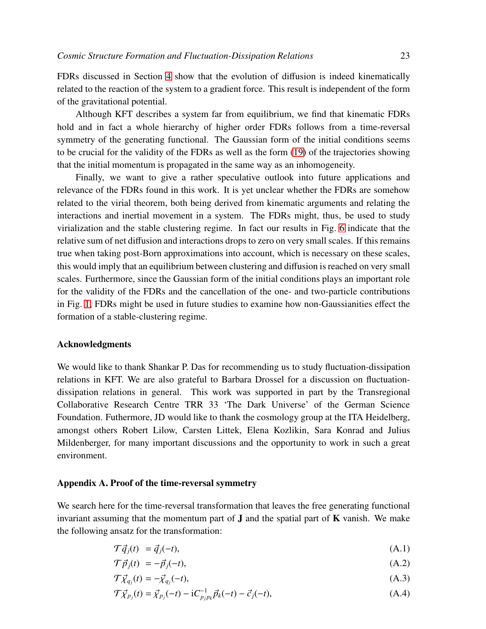FDRs discussed in Section [4](#page-14-0) show that the evolution of diffusion is indeed kinematically related to the reaction of the system to a gradient force. This result is independent of the form of the gravitational potential.

Although KFT describes a system far from equilibrium, we find that kinematic FDRs hold and in fact a whole hierarchy of higher order FDRs follows from a time-reversal symmetry of the generating functional. The Gaussian form of the initial conditions seems to be crucial for the validity of the FDRs as well as the form [\(19\)](#page-5-1) of the trajectories showing that the initial momentum is propagated in the same way as an inhomogeneity.

Finally, we want to give a rather speculative outlook into future applications and relevance of the FDRs found in this work. It is yet unclear whether the FDRs are somehow related to the virial theorem, both being derived from kinematic arguments and relating the interactions and inertial movement in a system. The FDRs might, thus, be used to study virialization and the stable clustering regime. In fact our results in Fig. [6](#page-14-1) indicate that the relative sum of net diffusion and interactions drops to zero on very small scales. If this remains true when taking post-Born approximations into account, which is necessary on these scales, this would imply that an equilibrium between clustering and diffusion is reached on very small scales. Furthermore, since the Gaussian form of the initial conditions plays an important role for the validity of the FDRs and the cancellation of the one- and two-particle contributions in Fig. [1,](#page-10-0) FDRs might be used in future studies to examine how non-Gaussianities effect the formation of a stable-clustering regime.

## Acknowledgments

We would like to thank Shankar P. Das for recommending us to study fluctuation-dissipation relations in KFT. We are also grateful to Barbara Drossel for a discussion on fluctuationdissipation relations in general. This work was supported in part by the Transregional Collaborative Research Centre TRR 33 'The Dark Universe' of the German Science Foundation. Futhermore, JD would like to thank the cosmology group at the ITA Heidelberg, amongst others Robert Lilow, Carsten Littek, Elena Kozlikin, Sara Konrad and Julius Mildenberger, for many important discussions and the opportunity to work in such a great environment.

# <span id="page-22-0"></span>Appendix A. Proof of the time-reversal symmetry

We search here for the time-reversal transformation that leaves the free generating functional invariant assuming that the momentum part of  $J$  and the spatial part of  $K$  vanish. We make the following ansatz for the transformation:

$$
\mathcal{T}\vec{q}_j(t) = \vec{q}_j(-t),\tag{A.1}
$$

$$
\mathcal{T}\vec{p}_j(t) = -\vec{p}_j(-t),\tag{A.2}
$$

$$
\mathcal{T}\vec{\chi}_{q_j}(t) = -\vec{\chi}_{q_j}(-t),\tag{A.3}
$$

$$
\mathcal{T}\vec{\chi}_{p_j}(t) = \vec{\chi}_{p_j}(-t) - iC_{p_j p_k}^{-1} \vec{p}_k(-t) - \vec{c}_j(-t),
$$
\n(A.4)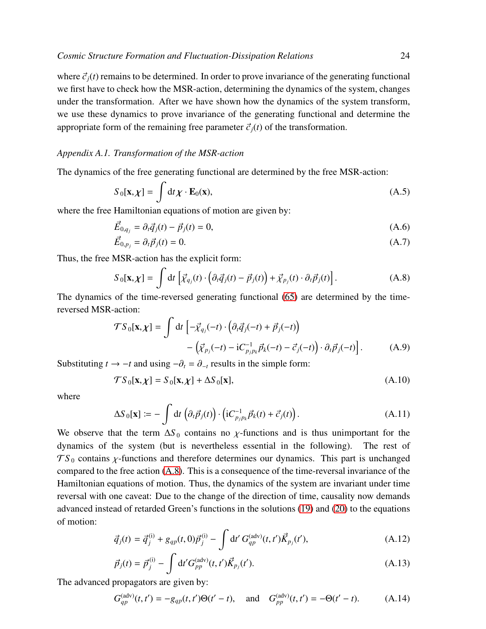where  $\vec{c}_i(t)$  remains to be determined. In order to prove invariance of the generating functional we first have to check how the MSR-action, determining the dynamics of the system, changes under the transformation. After we have shown how the dynamics of the system transform, we use these dynamics to prove invariance of the generating functional and determine the appropriate form of the remaining free parameter  $\vec{c}_i(t)$  of the transformation.

# *Appendix A.1. Transformation of the MSR-action*

The dynamics of the free generating functional are determined by the free MSR-action:

$$
S_0[\mathbf{x}, \chi] = \int \mathrm{d}t \chi \cdot \mathbf{E}_0(\mathbf{x}), \tag{A.5}
$$

where the free Hamiltonian equations of motion are given by:

$$
\vec{E}_{0,q_j} = \partial_t \vec{q}_j(t) - \vec{p}_j(t) = 0,
$$
\n(A.6)

$$
\vec{E}_{0,p_j} = \partial_t \vec{p}_j(t) = 0. \tag{A.7}
$$

Thus, the free MSR-action has the explicit form:

<span id="page-23-0"></span>
$$
S_0[\mathbf{x}, \chi] = \int dt \left[ \vec{\chi}_{q_j}(t) \cdot \left( \partial_t \vec{q}_j(t) - \vec{p}_j(t) \right) + \vec{\chi}_{p_j}(t) \cdot \partial_t \vec{p}_j(t) \right]. \tag{A.8}
$$

The dynamics of the time-reversed generating functional [\(65\)](#page-17-0) are determined by the timereversed MSR-action:

$$
\mathcal{T}S_0[\mathbf{x}, \chi] = \int dt \left[ -\vec{\chi}_{q_j}(-t) \cdot \left( \partial_t \vec{q}_j(-t) + \vec{p}_j(-t) \right) - \left( \vec{\chi}_{p_j}(-t) - iC_{p_j p_k}^{-1} \vec{p}_k(-t) - \vec{c}_j(-t) \right) \cdot \partial_t \vec{p}_j(-t) \right]. \tag{A.9}
$$

Substituting  $t \to -t$  and using  $-\partial_t = \partial_{-t}$  results in the simple form:

$$
\mathcal{T}S_0[\mathbf{x}, \chi] = S_0[\mathbf{x}, \chi] + \Delta S_0[\mathbf{x}], \tag{A.10}
$$

where

$$
\Delta S_0[\mathbf{x}] := -\int dt \left(\partial_t \vec{p}_j(t)\right) \cdot \left(\mathrm{i}C_{p_j p_k}^{-1} \vec{p}_k(t) + \vec{c}_j(t)\right). \tag{A.11}
$$

We observe that the term  $\Delta S_0$  contains no *χ*-functions and is thus unimportant for the dynamics of the system (but is nevertheless essential in the following). The rest of  $TS<sub>0</sub>$  contains  $\chi$ -functions and therefore determines our dynamics. This part is unchanged compared to the free action [\(A.8\)](#page-23-0). This is a consequence of the time-reversal invariance of the Hamiltonian equations of motion. Thus, the dynamics of the system are invariant under time reversal with one caveat: Due to the change of the direction of time, causality now demands advanced instead of retarded Green's functions in the solutions [\(19\)](#page-5-1) and [\(20\)](#page-5-1) to the equations of motion:

<span id="page-23-1"></span>
$$
\vec{q}_j(t) = \vec{q}_j^{(i)} + g_{qp}(t, 0)\vec{p}_j^{(i)} - \int dt' G_{qp}^{(adv)}(t, t')\vec{K}_{p_j}(t'), \qquad (A.12)
$$

$$
\vec{p}_j(t) = \vec{p}_j^{(i)} - \int dt' G_{pp}^{(adv)}(t, t') \vec{K}_{p_j}(t').
$$
\n(A.13)

The advanced propagators are given by:

<span id="page-23-2"></span>
$$
G_{qp}^{(\text{adv})}(t, t') = -g_{qp}(t, t')\Theta(t' - t), \text{ and } G_{pp}^{(\text{adv})}(t, t') = -\Theta(t' - t). \tag{A.14}
$$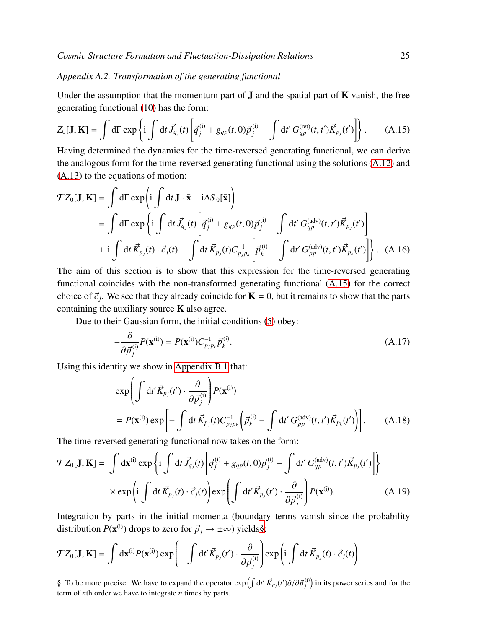# *Appendix A.2. Transformation of the generating functional*

Under the assumption that the momentum part of  $J$  and the spatial part of  $K$  vanish, the free generating functional [\(10\)](#page-4-3) has the form:

<span id="page-24-0"></span>
$$
Z_0[\mathbf{J}, \mathbf{K}] = \int d\Gamma \exp\left\{i \int dt \, \vec{J}_{q_j}(t) \left[ \vec{q}_j^{(i)} + g_{qp}(t, 0) \vec{p}_j^{(i)} - \int dt' \, G_{qp}^{(\text{ret})}(t, t') \vec{K}_{p_j}(t') \right] \right\}.
$$
 (A.15)

Having determined the dynamics for the time-reversed generating functional, we can derive the analogous form for the time-reversed generating functional using the solutions [\(A.12\)](#page-23-1) and [\(A.13\)](#page-23-1) to the equations of motion:

$$
\mathcal{T}Z_0[\mathbf{J}, \mathbf{K}] = \int d\Gamma \exp\left(i \int dt \mathbf{J} \cdot \bar{\mathbf{x}} + i \Delta S_0[\bar{\mathbf{x}}]\right)
$$
  
\n
$$
= \int d\Gamma \exp\left\{i \int dt \mathbf{J}_{q_j}(t) \left[\mathbf{q}_j^{(i)} + g_{qp}(t, 0)\mathbf{p}_j^{(i)} - \int dt' G_{qp}^{(adv)}(t, t') \mathbf{K}_{p_j}(t')\right] + i \int dt \mathbf{K}_{p_j}(t) \cdot \mathbf{C}_j(t) - \int dt \mathbf{K}_{p_j}(t) C_{p_j p_k}^{-1} \left[\mathbf{p}_k^{(i)} - \int dt' G_{pp}^{(adv)}(t, t') \mathbf{K}_{p_k}(t')\right]\right\}. (A.16)
$$

The aim of this section is to show that this expression for the time-reversed generating functional coincides with the non-transformed generating functional [\(A.15\)](#page-24-0) for the correct choice of  $\vec{c}_j$ . We see that they already coincide for  $\mathbf{K} = 0$ , but it remains to show that the parts containing the auxiliary source  $K$  also agree.

Due to their Gaussian form, the initial conditions [\(5\)](#page-2-1) obey:

<span id="page-24-3"></span>
$$
-\frac{\partial}{\partial \vec{p}_j^{(i)}} P(\mathbf{x}^{(i)}) = P(\mathbf{x}^{(i)}) C_{p_j p_k}^{-1} \vec{p}_k^{(i)}.
$$
\n(A.17)

Using this identity we show in [Appendix B.1](#page-25-0) that:

<span id="page-24-2"></span>
$$
\exp\left(\int dt' \vec{K}_{p_j}(t') \cdot \frac{\partial}{\partial \vec{p}_j^{(i)}}\right) P(\mathbf{x}^{(i)})
$$
  
=  $P(\mathbf{x}^{(i)}) \exp\left[-\int dt \vec{K}_{p_j}(t) C_{p_j p_k}^{-1} \left(\vec{p}_k^{(i)} - \int dt' G_{pp}^{(adv)}(t, t') \vec{K}_{p_k}(t')\right)\right].$  (A.18)

The time-reversed generating functional now takes on the form:

$$
\mathcal{T}Z_0[\mathbf{J}, \mathbf{K}] = \int d\mathbf{x}^{(i)} \exp\left\{i \int dt \, \vec{J}_{q_j}(t) \left[\vec{q}_j^{(i)} + g_{qp}(t, 0)\vec{p}_j^{(i)} - \int dt' \, G_{qp}^{(adv)}(t, t') \vec{K}_{p_j}(t')\right]\right\}
$$

$$
\times \exp\left(i \int dt \, \vec{K}_{p_j}(t) \cdot \vec{c}_j(t)\right) \exp\left(\int dt' \vec{K}_{p_j}(t') \cdot \frac{\partial}{\partial \vec{p}_j^{(i)}}\right) P(\mathbf{x}^{(i)}).
$$
(A.19)

Integration by parts in the initial momenta (boundary terms vanish since the probability distribution  $P(\mathbf{x}^{(i)})$  drops to zero for  $\vec{p}_j \rightarrow \pm \infty$ ) yields[§](#page-24-1):

$$
\mathcal{T}Z_0[\mathbf{J},\mathbf{K}] = \int d\mathbf{x}^{(i)} P(\mathbf{x}^{(i)}) \exp\left(-\int d\mathbf{t}' \vec{K}_{p_j}(\mathbf{t}') \cdot \frac{\partial}{\partial \vec{p}_j^{(i)}}\right) \exp\left(i \int d\mathbf{t} \vec{K}_{p_j}(\mathbf{t}) \cdot \vec{c}_j(\mathbf{t})\right)
$$

<span id="page-24-1"></span>§ To be more precise: We have to expand the operator  $exp\left(\int dt' \vec{K}_{p_j}(t')\partial/\partial \vec{p}_j^{(i)}\right)$  in its power series and for the term of *n*th order we have to integrate *n* times by parts.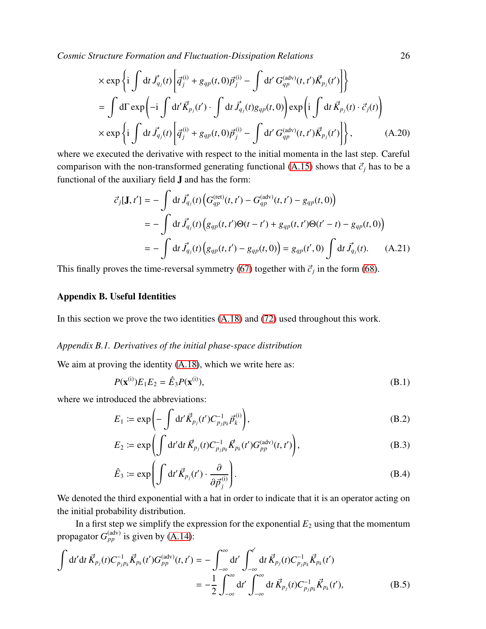$$
\times \exp\left\{i \int dt \vec{J}_{q_j}(t) \left[ \vec{q}_j^{(i)} + g_{qp}(t,0) \vec{p}_j^{(i)} - \int dt' G_{qp}^{(adv)}(t,t') \vec{K}_{p_j}(t') \right] \right\}
$$
  
\n
$$
= \int d\Gamma \exp\left(-i \int dt' \vec{K}_{p_j}(t') \cdot \int dt \vec{J}_{q_j}(t) g_{qp}(t,0) \right) \exp\left(i \int dt' \vec{K}_{p_j}(t) \cdot \vec{c}_j(t) \right)
$$
  
\n
$$
\times \exp\left\{i \int dt \vec{J}_{q_j}(t) \left[ \vec{q}_j^{(i)} + g_{qp}(t,0) \vec{p}_j^{(i)} - \int dt' G_{qp}^{(adv)}(t,t') \vec{K}_{p_j}(t') \right] \right\}, \tag{A.20}
$$

where we executed the derivative with respect to the initial momenta in the last step. Careful comparison with the non-transformed generating functional [\(A.15\)](#page-24-0) shows that  $\vec{c}_i$  has to be a functional of the auxiliary field J and has the form:

$$
\vec{c}_j[\mathbf{J}, t'] = -\int dt \, \vec{J}_{q_j}(t) \Big( G_{qp}^{(\text{ret})}(t, t') - G_{qp}^{(\text{adv})}(t, t') - g_{qp}(t, 0) \Big)
$$
\n
$$
= -\int dt \, \vec{J}_{q_j}(t) \Big( g_{qp}(t, t') \Theta(t - t') + g_{qp}(t, t') \Theta(t' - t) - g_{qp}(t, 0) \Big)
$$
\n
$$
= -\int dt \, \vec{J}_{q_j}(t) \Big( g_{qp}(t, t') - g_{qp}(t, 0) \Big) = g_{qp}(t', 0) \int dt \, \vec{J}_{q_j}(t). \tag{A.21}
$$

This finally proves the time-reversal symmetry [\(67\)](#page-18-3) together with  $\vec{c}_j$  in the form [\(68\)](#page-18-0).

## Appendix B. Useful Identities

In this section we prove the two identities [\(A.18\)](#page-24-2) and [\(72\)](#page-18-4) used throughout this work.

# <span id="page-25-0"></span>*Appendix B.1. Derivatives of the initial phase-space distribution*

We aim at proving the identity  $(A.18)$ , which we write here as:

<span id="page-25-2"></span>
$$
P(\mathbf{x}^{(i)})E_1E_2 = \hat{E}_3P(\mathbf{x}^{(i)}),
$$
\n(B.1)

where we introduced the abbreviations:

<span id="page-25-1"></span>
$$
E_1 \coloneqq \exp\left(-\int \mathrm{d}t' \vec{K}_{p_j}(t') C_{p_j p_k}^{-1} \vec{p}_k^{(i)}\right),\tag{B.2}
$$

$$
E_2 := \exp\left(\int \mathrm{d}t' \mathrm{d}t \, \vec{K}_{p_j}(t) C_{p_j p_k}^{-1} \vec{K}_{p_k}(t') G_{pp}^{(\text{adv})}(t, t')\right),\tag{B.3}
$$

$$
\hat{E}_3 := \exp\left(\int \mathrm{d}t' \vec{K}_{p_j}(t') \cdot \frac{\partial}{\partial \vec{p}_j^{(i)}}\right). \tag{B.4}
$$

We denoted the third exponential with a hat in order to indicate that it is an operator acting on the initial probability distribution.

In a first step we simplify the expression for the exponential  $E_2$  using that the momentum propagator  $G_{pp}^{(adv)}$  is given by [\(A.14\)](#page-23-2):

$$
\int dt' dt \vec{K}_{p_j}(t) C_{p_j p_k}^{-1} \vec{K}_{p_k}(t') G_{pp}^{(adv)}(t, t') = - \int_{-\infty}^{\infty} dt' \int_{-\infty}^{t'} dt \vec{K}_{p_j}(t) C_{p_j p_k}^{-1} \vec{K}_{p_k}(t')
$$
  
= 
$$
- \frac{1}{2} \int_{-\infty}^{\infty} dt' \int_{-\infty}^{\infty} dt \vec{K}_{p_j}(t) C_{p_j p_k}^{-1} \vec{K}_{p_k}(t'),
$$
(B.5)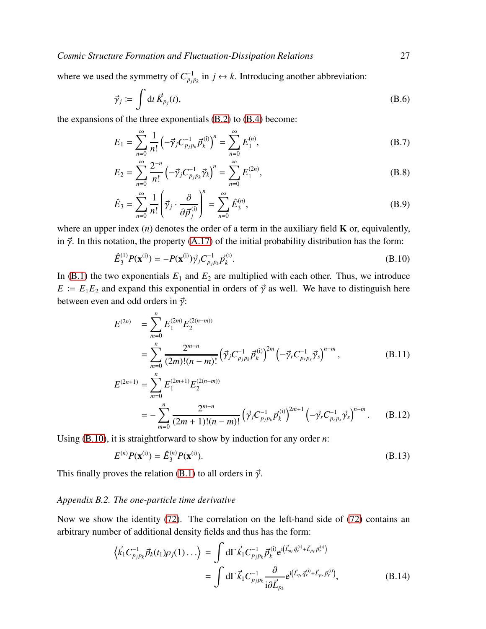where we used the symmetry of  $C_{p_j p_k}^{-1}$  in  $j \leftrightarrow k$ . Introducing another abbreviation:

$$
\vec{\gamma}_j \coloneqq \int \mathrm{d}t \, \vec{K}_{p_j}(t), \tag{B.6}
$$

the expansions of the three exponentials [\(B.2\)](#page-25-1) to [\(B.4\)](#page-25-1) become:

$$
E_1 = \sum_{n=0}^{\infty} \frac{1}{n!} \left( -\vec{\gamma}_j C_{p_j p_k}^{-1} \vec{p}_k^{(i)} \right)^n = \sum_{n=0}^{\infty} E_1^{(n)},
$$
 (B.7)

$$
E_2 = \sum_{n=0}^{\infty} \frac{2^{-n}}{n!} \left( -\vec{\gamma}_j C_{p_j p_k}^{-1} \vec{\gamma}_k \right)^n = \sum_{n=0}^{\infty} E_1^{(2n)}, \tag{B.8}
$$

$$
\hat{E}_3 = \sum_{n=0}^{\infty} \frac{1}{n!} \left( \vec{\gamma}_j \cdot \frac{\partial}{\partial \vec{p}_j^{(i)}} \right)^n = \sum_{n=0}^{\infty} \hat{E}_3^{(n)},
$$
\n(B.9)

where an upper index  $(n)$  denotes the order of a term in the auxiliary field **K** or, equivalently, in  $\vec{\gamma}$ . In this notation, the property [\(A.17\)](#page-24-3) of the initial probability distribution has the form:

<span id="page-26-1"></span>
$$
\hat{E}_3^{(1)}P(\mathbf{x}^{(i)}) = -P(\mathbf{x}^{(i)})\vec{\gamma}_j C_{p_j p_k}^{-1} \vec{p}_k^{(i)}.
$$
\n(B.10)

In  $(B.1)$  the two exponentials  $E_1$  and  $E_2$  are multiplied with each other. Thus, we introduce  $E = E_1 E_2$  and expand this exponential in orders of  $\vec{\gamma}$  as well. We have to distinguish here between even and odd orders in  $\vec{\gamma}$ :

$$
E^{(2n)} = \sum_{m=0}^{n} E_1^{(2m)} E_2^{(2(n-m))}
$$
  
= 
$$
\sum_{m=0}^{n} \frac{2^{m-n}}{(2m)!(n-m)!} (\vec{\gamma}_j C_{p_j p_k}^{-1} \vec{p}_k^{(i)})^{2m} (-\vec{\gamma}_r C_{p_r p_s}^{-1} \vec{\gamma}_s)^{n-m},
$$
 (B.11)  

$$
E^{(2n+1)} = \sum_{n=0}^{n} E_1^{(2m+1)} E_2^{(2(n-m))}
$$

$$
^{(2n+1)} = \sum_{m=0}^{n} E_1^{(2m+1)} E_2^{(2(n-m))}
$$
  
= 
$$
- \sum_{m=0}^{n} \frac{2^{m-n}}{(2m+1)!(n-m)!} \left(\vec{\gamma}_j C_{p_j p_k}^{-1} \vec{p}_k^{(i)}\right)^{2m+1} \left(-\vec{\gamma}_r C_{p_r p_s}^{-1} \vec{\gamma}_s\right)^{n-m}.
$$
 (B.12)

Using [\(B.10\)](#page-26-1), it is straightforward to show by induction for any order *n*:

$$
E^{(n)}P(\mathbf{x}^{(i)}) = \hat{E}_3^{(n)}P(\mathbf{x}^{(i)}).
$$
 (B.13)

This finally proves the relation [\(B.1\)](#page-25-2) to all orders in  $\vec{\gamma}$ .

# <span id="page-26-0"></span>*Appendix B.2. The one-particle time derivative*

Now we show the identity [\(72\)](#page-18-4). The correlation on the left-hand side of [\(72\)](#page-18-4) contains an arbitrary number of additional density fields and thus has the form:

$$
\left\langle \vec{k}_1 C_{p_j p_k}^{-1} \vec{p}_k(t_1) \rho_j(1) \dots \right\rangle = \int d\Gamma \, \vec{k}_1 C_{p_j p_k}^{-1} \vec{p}_k^{(i)} e^{i \left( \vec{L}_{q_r} \vec{q}_r^{(i)} + \vec{L}_{p_r} \vec{p}_r^{(i)} \right)} \n= \int d\Gamma \, \vec{k}_1 C_{p_j p_k}^{-1} \frac{\partial}{i \partial \vec{L}_{p_k}} e^{i \left( \vec{L}_{q_r} \vec{q}_r^{(i)} + \vec{L}_{p_r} \vec{p}_r^{(i)} \right)},
$$
\n(B.14)